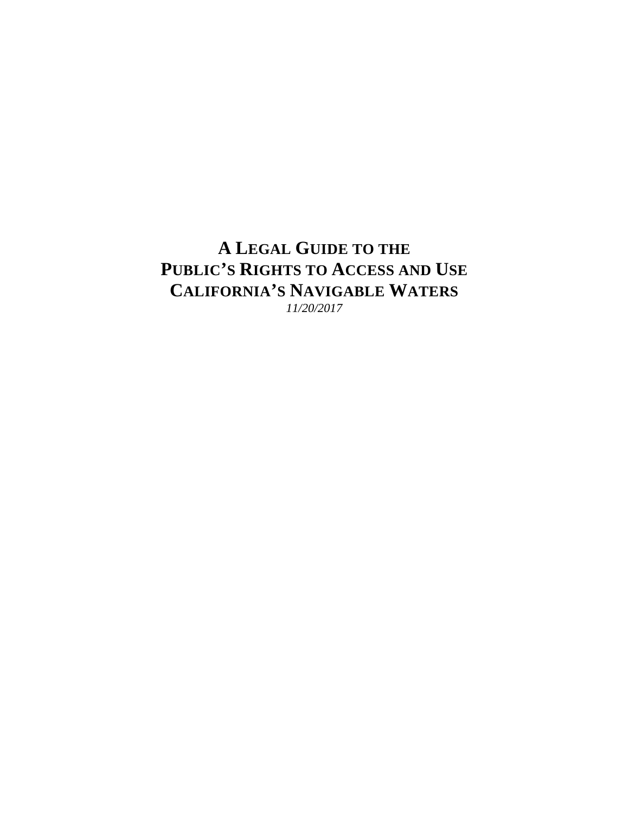# **A LEGAL GUIDE TO THE PUBLIC'S RIGHTS TO ACCESS AND USE CALIFORNIA'S NAVIGABLE WATERS**

*11/20/2017*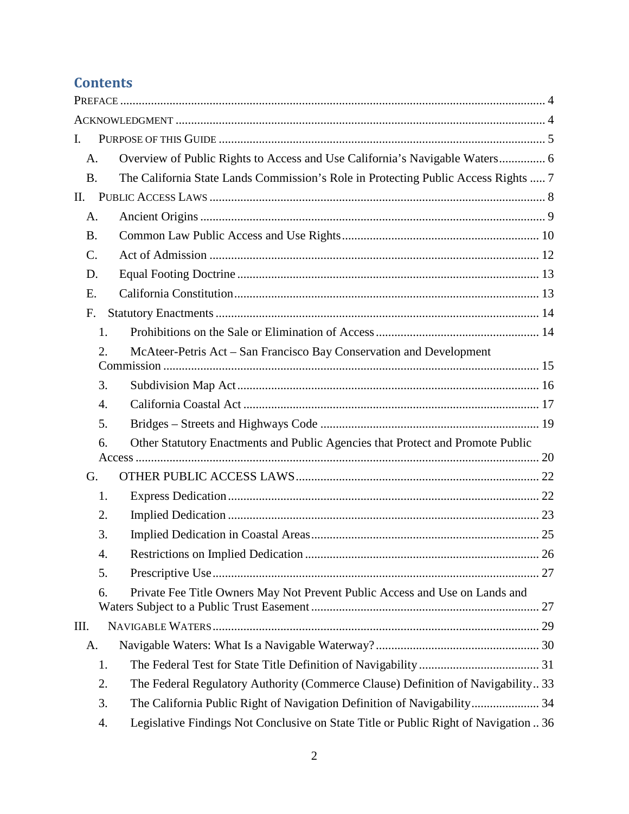# **Contents**

| I.               |                                                                                      |    |
|------------------|--------------------------------------------------------------------------------------|----|
| A.               | Overview of Public Rights to Access and Use California's Navigable Waters 6          |    |
| <b>B.</b>        | The California State Lands Commission's Role in Protecting Public Access Rights  7   |    |
| II.              |                                                                                      |    |
| A.               |                                                                                      |    |
| <b>B.</b>        |                                                                                      |    |
| C.               |                                                                                      |    |
| D.               |                                                                                      |    |
| E.               |                                                                                      |    |
| F.               |                                                                                      |    |
| 1.               |                                                                                      |    |
| 2.               | McAteer-Petris Act – San Francisco Bay Conservation and Development                  |    |
| 3.               |                                                                                      |    |
| $\overline{4}$ . |                                                                                      |    |
| 5.               |                                                                                      |    |
| 6.               | Other Statutory Enactments and Public Agencies that Protect and Promote Public       |    |
|                  |                                                                                      |    |
| G.               |                                                                                      |    |
| 1.               |                                                                                      |    |
| 2.               |                                                                                      |    |
| 3.               |                                                                                      |    |
| $\overline{A}$   | Restrictions on Implied Dedication                                                   | 26 |
| 5.               |                                                                                      |    |
| 6.               | Private Fee Title Owners May Not Prevent Public Access and Use on Lands and          |    |
| Ш.               |                                                                                      |    |
| А.               |                                                                                      |    |
| 1.               |                                                                                      |    |
| 2.               | The Federal Regulatory Authority (Commerce Clause) Definition of Navigability 33     |    |
| 3.               | The California Public Right of Navigation Definition of Navigability 34              |    |
| 4.               | Legislative Findings Not Conclusive on State Title or Public Right of Navigation  36 |    |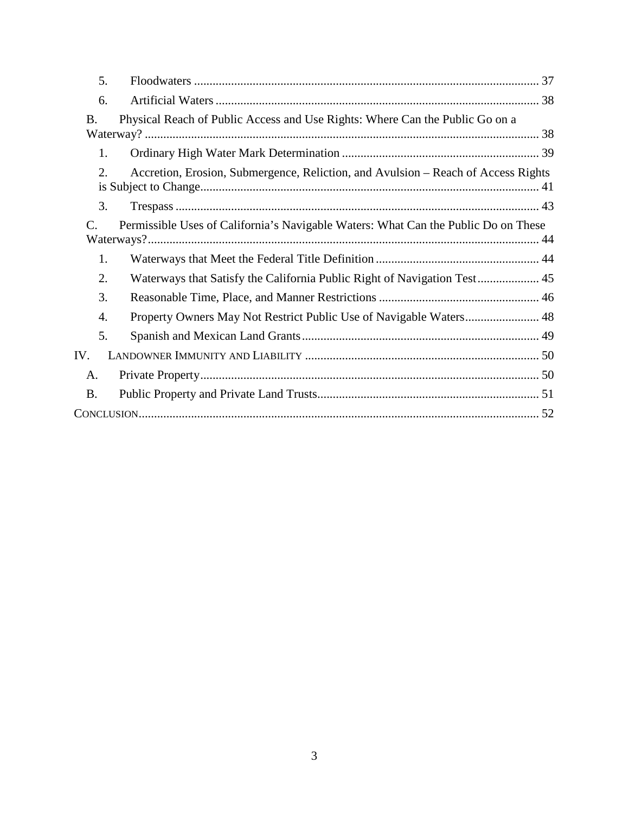| 5.                    |                                                                                    |
|-----------------------|------------------------------------------------------------------------------------|
| 6.                    |                                                                                    |
| <b>B.</b>             | Physical Reach of Public Access and Use Rights: Where Can the Public Go on a       |
| 1.                    |                                                                                    |
| 2.                    | Accretion, Erosion, Submergence, Reliction, and Avulsion – Reach of Access Rights  |
| 3.                    |                                                                                    |
| $\mathcal{C}_{\cdot}$ | Permissible Uses of California's Navigable Waters: What Can the Public Do on These |
| 1.                    |                                                                                    |
| 2.                    |                                                                                    |
| 3.                    |                                                                                    |
| 4.                    | Property Owners May Not Restrict Public Use of Navigable Waters 48                 |
| 5.                    |                                                                                    |
| IV.                   |                                                                                    |
| A.                    |                                                                                    |
| <b>B.</b>             |                                                                                    |
|                       |                                                                                    |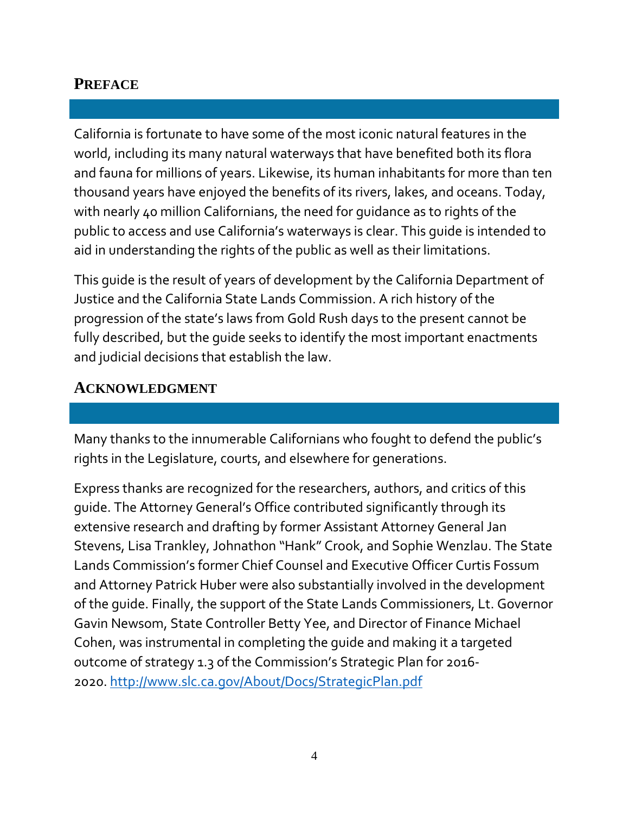# <span id="page-3-0"></span>**PREFACE**

California is fortunate to have some of the most iconic natural features in the world, including its many natural waterways that have benefited both its flora and fauna for millions of years. Likewise, its human inhabitants for more than ten thousand years have enjoyed the benefits of its rivers, lakes, and oceans. Today, with nearly 40 million Californians, the need for guidance as to rights of the public to access and use California's waterways is clear. This guide is intended to aid in understanding the rights of the public as well as their limitations.

This guide is the result of years of development by the California Department of Justice and the California State Lands Commission. A rich history of the progression of the state's laws from Gold Rush days to the present cannot be fully described, but the guide seeks to identify the most important enactments and judicial decisions that establish the law.

# <span id="page-3-1"></span>**ACKNOWLEDGMENT**

Many thanks to the innumerable Californians who fought to defend the public's rights in the Legislature, courts, and elsewhere for generations.

Express thanks are recognized for the researchers, authors, and critics of this guide. The Attorney General's Office contributed significantly through its extensive research and drafting by former Assistant Attorney General Jan Stevens, Lisa Trankley, Johnathon "Hank" Crook, and Sophie Wenzlau. The State Lands Commission's former Chief Counsel and Executive Officer Curtis Fossum and Attorney Patrick Huber were also substantially involved in the development of the guide. Finally, the support of the State Lands Commissioners, Lt. Governor Gavin Newsom, State Controller Betty Yee, and Director of Finance Michael Cohen, was instrumental in completing the guide and making it a targeted outcome of strategy 1.3 of the Commission's Strategic Plan for 2016- 2020.<http://www.slc.ca.gov/About/Docs/StrategicPlan.pdf>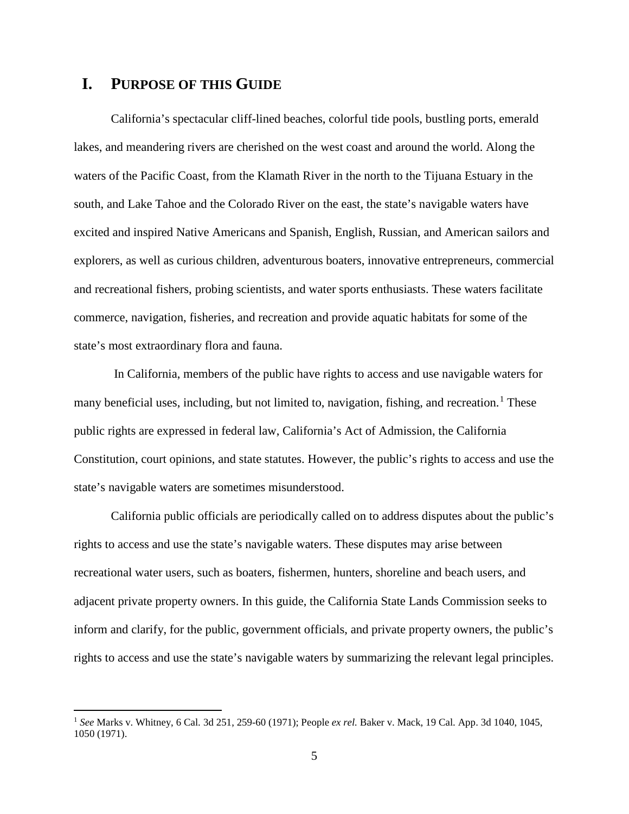# <span id="page-4-0"></span>**I. PURPOSE OF THIS GUIDE**

California's spectacular cliff-lined beaches, colorful tide pools, bustling ports, emerald lakes, and meandering rivers are cherished on the west coast and around the world. Along the waters of the Pacific Coast, from the Klamath River in the north to the Tijuana Estuary in the south, and Lake Tahoe and the Colorado River on the east, the state's navigable waters have excited and inspired Native Americans and Spanish, English, Russian, and American sailors and explorers, as well as curious children, adventurous boaters, innovative entrepreneurs, commercial and recreational fishers, probing scientists, and water sports enthusiasts. These waters facilitate commerce, navigation, fisheries, and recreation and provide aquatic habitats for some of the state's most extraordinary flora and fauna.

In California, members of the public have rights to access and use navigable waters for many beneficial uses, including, but not limited to, navigation, fishing, and recreation.<sup>[1](#page-4-1)</sup> These public rights are expressed in federal law, California's Act of Admission, the California Constitution, court opinions, and state statutes. However, the public's rights to access and use the state's navigable waters are sometimes misunderstood.

California public officials are periodically called on to address disputes about the public's rights to access and use the state's navigable waters. These disputes may arise between recreational water users, such as boaters, fishermen, hunters, shoreline and beach users, and adjacent private property owners. In this guide, the California State Lands Commission seeks to inform and clarify, for the public, government officials, and private property owners, the public's rights to access and use the state's navigable waters by summarizing the relevant legal principles.

<span id="page-4-1"></span> <sup>1</sup> *See* Marks v. Whitney, 6 Cal. 3d 251, 259-60 (1971); People *ex rel.* Baker v. Mack, 19 Cal. App. 3d 1040, 1045, 1050 (1971).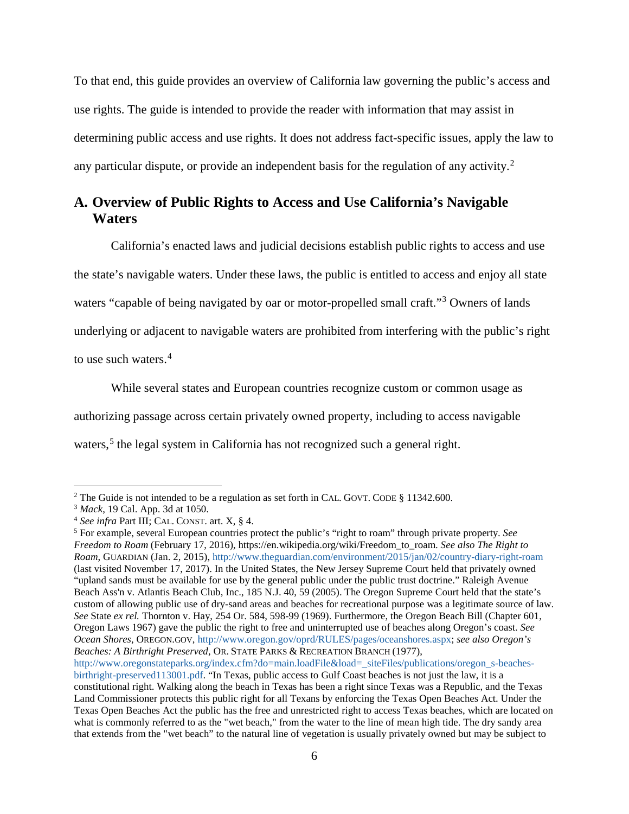To that end, this guide provides an overview of California law governing the public's access and use rights. The guide is intended to provide the reader with information that may assist in determining public access and use rights. It does not address fact-specific issues, apply the law to any particular dispute, or provide an independent basis for the regulation of any activity.<sup>[2](#page-5-1)</sup>

# <span id="page-5-0"></span>**A. Overview of Public Rights to Access and Use California's Navigable Waters**

California's enacted laws and judicial decisions establish public rights to access and use the state's navigable waters. Under these laws, the public is entitled to access and enjoy all state waters "capable of being navigated by oar or motor-propelled small craft."<sup>[3](#page-5-2)</sup> Owners of lands underlying or adjacent to navigable waters are prohibited from interfering with the public's right to use such waters.<sup>[4](#page-5-3)</sup>

While several states and European countries recognize custom or common usage as authorizing passage across certain privately owned property, including to access navigable waters,<sup>[5](#page-5-4)</sup> the legal system in California has not recognized such a general right.

[http://www.oregonstateparks.org/index.cfm?do=main.loadFile&load=\\_siteFiles/publications/oregon\\_s-beaches](http://www.oregonstateparks.org/index.cfm?do=main.loadFile&load=_siteFiles/publications/oregon_s-beaches-birthright-preserved113001.pdf)[birthright-preserved113001.pdf.](http://www.oregonstateparks.org/index.cfm?do=main.loadFile&load=_siteFiles/publications/oregon_s-beaches-birthright-preserved113001.pdf) "In Texas, public access to Gulf Coast beaches is not just the law, it is a constitutional right. Walking along the beach in Texas has been a right since Texas was a Republic, and the Texas Land Commissioner protects this public right for all Texans by enforcing the Texas Open Beaches Act. Under the Texas Open Beaches Act the public has the free and unrestricted right to access Texas beaches, which are located on what is commonly referred to as the "wet beach," from the water to the line of mean high tide. The dry sandy area that extends from the "wet beach" to the natural line of vegetation is usually privately owned but may be subject to

<span id="page-5-1"></span><sup>&</sup>lt;sup>2</sup> The Guide is not intended to be a regulation as set forth in CAL. GOVT. CODE § 11342.600.

<span id="page-5-2"></span><sup>3</sup> *Mack*, 19 Cal. App. 3d at 1050.

<span id="page-5-3"></span><sup>4</sup> *See infra* Part III; CAL. CONST. art. X, § 4.

<span id="page-5-4"></span><sup>5</sup> For example, several European countries protect the public's "right to roam" through private property. *See Freedom to Roam* (February 17, 2016), https://en.wikipedia.org/wiki/Freedom\_to\_roam. *See also The Right to Roam*, GUARDIAN (Jan. 2, 2015),<http://www.theguardian.com/environment/2015/jan/02/country-diary-right-roam> (last visited November 17, 2017). In the United States, the New Jersey Supreme Court held that privately owned "upland sands must be available for use by the general public under the public trust doctrine." Raleigh Avenue Beach Ass'n v. Atlantis Beach Club, Inc., 185 N.J. 40, 59 (2005). The Oregon Supreme Court held that the state's custom of allowing public use of dry-sand areas and beaches for recreational purpose was a legitimate source of law. *See* State *ex rel.* Thornton v. Hay, 254 Or. 584, 598-99 (1969). Furthermore, the Oregon Beach Bill (Chapter 601, Oregon Laws 1967) gave the public the right to free and uninterrupted use of beaches along Oregon's coast. *See Ocean Shores*, OREGON.GOV, [http://www.oregon.gov/oprd/RULES/pages/oceanshores.aspx;](http://www.oregon.gov/oprd/RULES/pages/oceanshores.aspx) *see also Oregon's Beaches: A Birthright Preserved*, OR. STATE PARKS & RECREATION BRANCH (1977),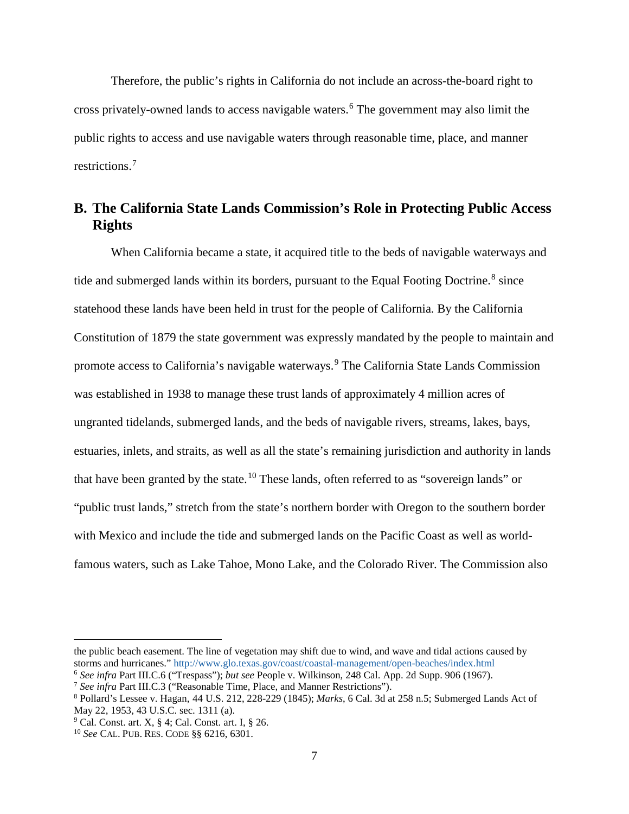Therefore, the public's rights in California do not include an across-the-board right to cross privately-owned lands to access navigable waters.[6](#page-6-1) The government may also limit the public rights to access and use navigable waters through reasonable time, place, and manner restrictions.[7](#page-6-2)

# <span id="page-6-0"></span>**B. The California State Lands Commission's Role in Protecting Public Access Rights**

When California became a state, it acquired title to the beds of navigable waterways and tide and submerged lands within its borders, pursuant to the Equal Footing Doctrine.<sup>[8](#page-6-3)</sup> since statehood these lands have been held in trust for the people of California. By the California Constitution of 1879 the state government was expressly mandated by the people to maintain and promote access to California's navigable waterways.<sup>[9](#page-6-4)</sup> The California State Lands Commission was established in 1938 to manage these trust lands of approximately 4 million acres of ungranted tidelands, submerged lands, and the beds of navigable rivers, streams, lakes, bays, estuaries, inlets, and straits, as well as all the state's remaining jurisdiction and authority in lands that have been granted by the state.<sup>[10](#page-6-5)</sup> These lands, often referred to as "sovereign lands" or "public trust lands," stretch from the state's northern border with Oregon to the southern border with Mexico and include the tide and submerged lands on the Pacific Coast as well as worldfamous waters, such as Lake Tahoe, Mono Lake, and the Colorado River. The Commission also

 $\overline{a}$ 

the public beach easement. The line of vegetation may shift due to wind, and wave and tidal actions caused by storms and hurricanes."<http://www.glo.texas.gov/coast/coastal-management/open-beaches/index.html> <sup>6</sup> *See infra* Part III.C.6 ("Trespass"); *but see* People v. Wilkinson, 248 Cal. App. 2d Supp. 906 (1967).

<span id="page-6-2"></span><span id="page-6-1"></span><sup>7</sup> *See infra* Part III.C.3 ("Reasonable Time, Place, and Manner Restrictions").

<span id="page-6-3"></span><sup>8</sup> Pollard's Lessee v. Hagan, 44 U.S. 212, 228-229 (1845); *Marks*, 6 Cal. 3d at 258 n.5; Submerged Lands Act of May 22, 1953, 43 U.S.C. sec. 1311 (a).

<span id="page-6-4"></span> $9$  Cal. Const. art. X, § 4; Cal. Const. art. I, § 26.

<span id="page-6-5"></span><sup>10</sup> *See* CAL. PUB. RES. CODE §§ 6216, 6301.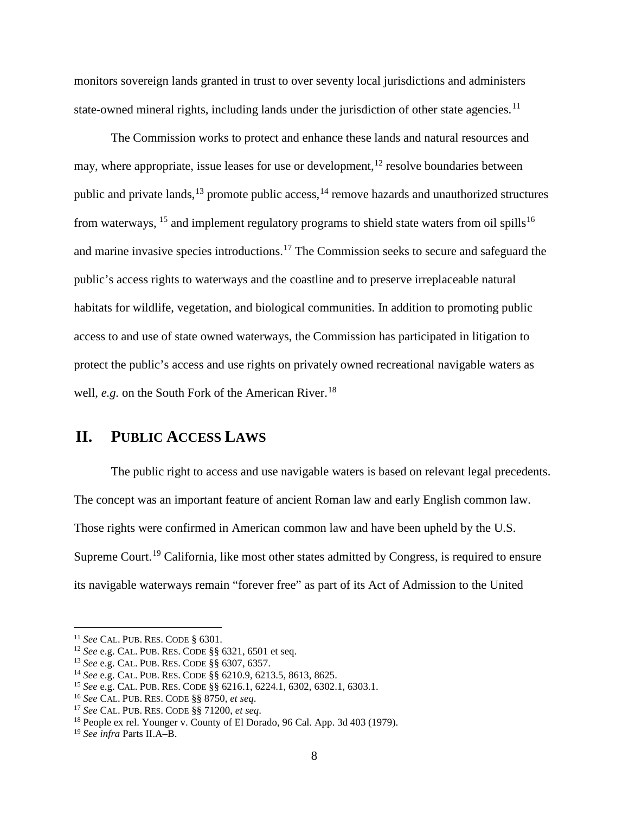monitors sovereign lands granted in trust to over seventy local jurisdictions and administers state-owned mineral rights, including lands under the jurisdiction of other state agencies.<sup>[11](#page-7-1)</sup>

The Commission works to protect and enhance these lands and natural resources and may, where appropriate, issue leases for use or development,  $^{12}$  $^{12}$  $^{12}$  resolve boundaries between public and private lands,  $^{13}$  $^{13}$  $^{13}$  promote public access,  $^{14}$  $^{14}$  $^{14}$  remove hazards and unauthorized structures from waterways,  $^{15}$  $^{15}$  $^{15}$  and implement regulatory programs to shield state waters from oil spills<sup>[16](#page-7-6)</sup> and marine invasive species introductions.[17](#page-7-7) The Commission seeks to secure and safeguard the public's access rights to waterways and the coastline and to preserve irreplaceable natural habitats for wildlife, vegetation, and biological communities. In addition to promoting public access to and use of state owned waterways, the Commission has participated in litigation to protect the public's access and use rights on privately owned recreational navigable waters as well, *e.g.* on the South Fork of the American River. [18](#page-7-8)

# <span id="page-7-0"></span>**II. PUBLIC ACCESS LAWS**

The public right to access and use navigable waters is based on relevant legal precedents. The concept was an important feature of ancient Roman law and early English common law. Those rights were confirmed in American common law and have been upheld by the U.S. Supreme Court.<sup>[19](#page-7-9)</sup> California, like most other states admitted by Congress, is required to ensure its navigable waterways remain "forever free" as part of its Act of Admission to the United

<span id="page-7-1"></span> <sup>11</sup> *See* CAL. PUB. RES. CODE § 6301.

<span id="page-7-2"></span><sup>12</sup> *See* e.g. CAL. PUB. RES. CODE §§ 6321, 6501 et seq.

<span id="page-7-3"></span><sup>13</sup> *See* e.g. CAL. PUB. RES. CODE §§ 6307, 6357.

<span id="page-7-4"></span><sup>14</sup> *See* e.g. CAL. PUB. RES. CODE §§ 6210.9, 6213.5, 8613, 8625.

<span id="page-7-5"></span><sup>15</sup> *See* e.g. CAL. PUB. RES. CODE §§ 6216.1, 6224.1, 6302, 6302.1, 6303.1.

<span id="page-7-6"></span><sup>16</sup> *See* CAL. PUB. RES. CODE §§ 8750, *et seq*.

<span id="page-7-7"></span><sup>17</sup> *See* CAL. PUB. RES. CODE §§ 71200, *et seq*.

<span id="page-7-8"></span><sup>&</sup>lt;sup>18</sup> People ex rel. Younger v. County of El Dorado, 96 Cal. App. 3d 403 (1979).

<span id="page-7-9"></span><sup>19</sup> *See infra* Parts II.A–B.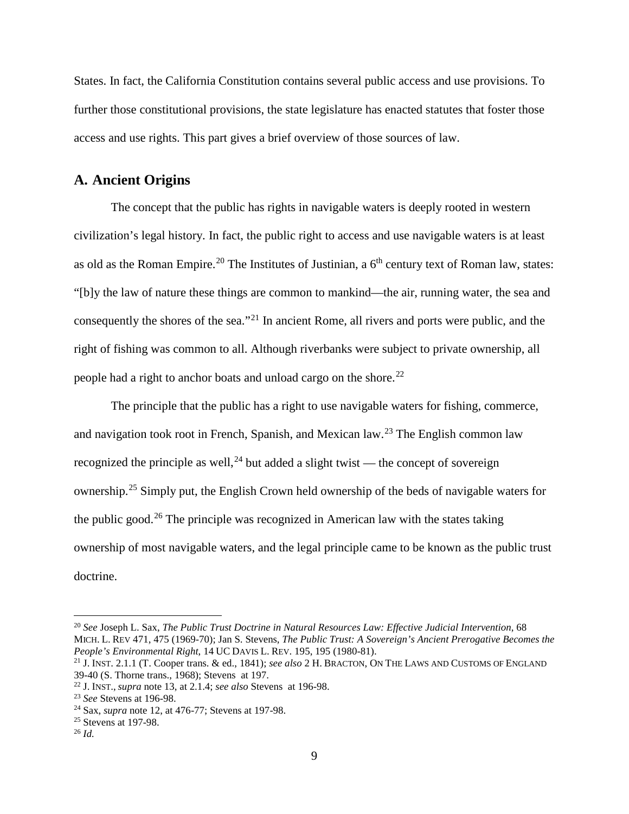States. In fact, the California Constitution contains several public access and use provisions. To further those constitutional provisions, the state legislature has enacted statutes that foster those access and use rights. This part gives a brief overview of those sources of law.

### <span id="page-8-0"></span>**A. Ancient Origins**

The concept that the public has rights in navigable waters is deeply rooted in western civilization's legal history. In fact, the public right to access and use navigable waters is at least as old as the Roman Empire.<sup>[20](#page-8-1)</sup> The Institutes of Justinian, a  $6<sup>th</sup>$  century text of Roman law, states: "[b]y the law of nature these things are common to mankind—the air, running water, the sea and consequently the shores of the sea."[21](#page-8-2) In ancient Rome, all rivers and ports were public, and the right of fishing was common to all. Although riverbanks were subject to private ownership, all people had a right to anchor boats and unload cargo on the shore.<sup>22</sup>

The principle that the public has a right to use navigable waters for fishing, commerce, and navigation took root in French, Spanish, and Mexican law.<sup>[23](#page-8-4)</sup> The English common law recognized the principle as well,  $24$  but added a slight twist — the concept of sovereign ownership. [25](#page-8-6) Simply put, the English Crown held ownership of the beds of navigable waters for the public good.<sup>[26](#page-8-7)</sup> The principle was recognized in American law with the states taking ownership of most navigable waters, and the legal principle came to be known as the public trust doctrine.

<span id="page-8-1"></span> <sup>20</sup> *See* Joseph L. Sax, *The Public Trust Doctrine in Natural Resources Law: Effective Judicial Intervention*, 68 MICH. L. REV 471, 475 (1969-70); Jan S. Stevens, *The Public Trust: A Sovereign's Ancient Prerogative Becomes the People's Environmental Right*, 14 UC DAVIS L. REV. 195, 195 (1980-81).

<span id="page-8-2"></span><sup>21</sup> J. INST. 2.1.1 (T. Cooper trans. & ed., 1841); *see also* 2 H. BRACTON, ON THE LAWS AND CUSTOMS OF ENGLAND

<span id="page-8-3"></span><sup>&</sup>lt;sup>22</sup> J. INST., *supra* note 13, at 2.1.4; *see also* Stevens at 196-98.

<span id="page-8-4"></span><sup>23</sup> *See* Stevens at 196-98.

<span id="page-8-5"></span><sup>24</sup> Sax, *supra* note 12, at 476-77; Stevens at 197-98.

<span id="page-8-6"></span><sup>25</sup> Stevens at 197-98.

<span id="page-8-7"></span><sup>26</sup> *Id.*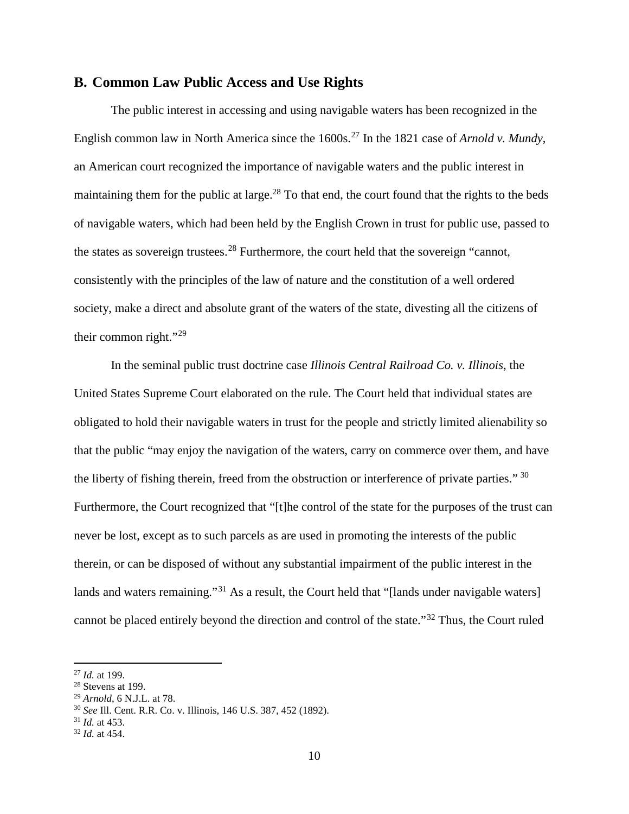### <span id="page-9-0"></span>**B. Common Law Public Access and Use Rights**

The public interest in accessing and using navigable waters has been recognized in the English common law in North America since the 1600s.<sup>[27](#page-9-1)</sup> In the 1821 case of *Arnold v. Mundy*, an American court recognized the importance of navigable waters and the public interest in maintaining them for the public at large.<sup>28</sup> To that end, the court found that the rights to the beds of navigable waters, which had been held by the English Crown in trust for public use, passed to the states as sovereign trustees.[28](#page-9-2) Furthermore, the court held that the sovereign "cannot, consistently with the principles of the law of nature and the constitution of a well ordered society, make a direct and absolute grant of the waters of the state, divesting all the citizens of their common right."[29](#page-9-3)

In the seminal public trust doctrine case *Illinois Central Railroad Co. v. Illinois*, the United States Supreme Court elaborated on the rule. The Court held that individual states are obligated to hold their navigable waters in trust for the people and strictly limited alienability so that the public "may enjoy the navigation of the waters, carry on commerce over them, and have the liberty of fishing therein, freed from the obstruction or interference of private parties." [30](#page-9-4) Furthermore, the Court recognized that "[t]he control of the state for the purposes of the trust can never be lost, except as to such parcels as are used in promoting the interests of the public therein, or can be disposed of without any substantial impairment of the public interest in the lands and waters remaining."<sup>[31](#page-9-5)</sup> As a result, the Court held that "[lands under navigable waters] cannot be placed entirely beyond the direction and control of the state."[32](#page-9-6) Thus, the Court ruled

<span id="page-9-1"></span> <sup>27</sup> *Id.* at 199.

<span id="page-9-2"></span><sup>28</sup> Stevens at 199.

<span id="page-9-3"></span><sup>29</sup> *Arnold*, 6 N.J.L. at 78.

<span id="page-9-4"></span><sup>30</sup> *See* Ill. Cent. R.R. Co. v. Illinois, 146 U.S. 387, 452 (1892).

<span id="page-9-5"></span>

<span id="page-9-6"></span><sup>31</sup> *Id.* at 453. 32 *Id.* at 454.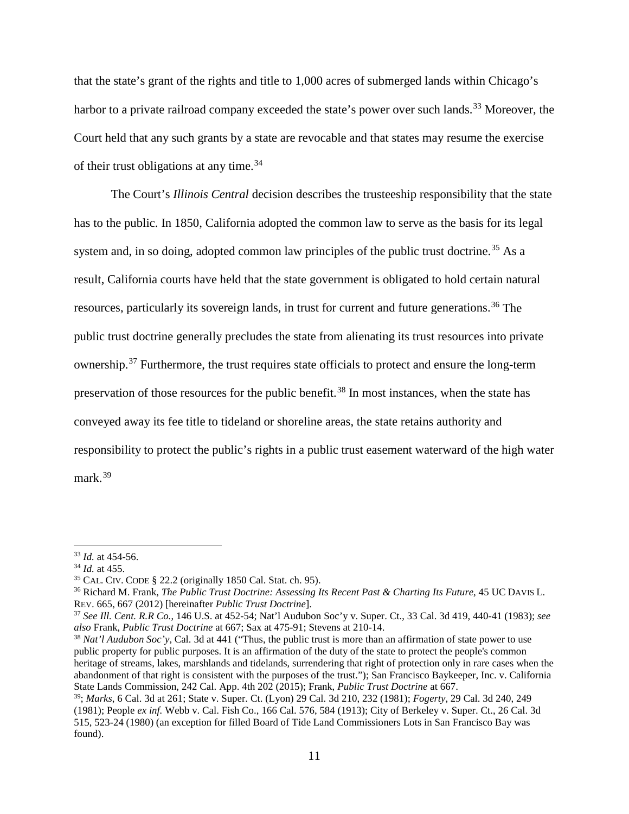that the state's grant of the rights and title to 1,000 acres of submerged lands within Chicago's harbor to a private railroad company exceeded the state's power over such lands.<sup>[33](#page-10-0)</sup> Moreover, the Court held that any such grants by a state are revocable and that states may resume the exercise of their trust obligations at any time.<sup>34</sup>

The Court's *Illinois Central* decision describes the trusteeship responsibility that the state has to the public. In 1850, California adopted the common law to serve as the basis for its legal system and, in so doing, adopted common law principles of the public trust doctrine.<sup>[35](#page-10-2)</sup> As a result, California courts have held that the state government is obligated to hold certain natural resources, particularly its sovereign lands, in trust for current and future generations.<sup>[36](#page-10-3)</sup> The public trust doctrine generally precludes the state from alienating its trust resources into private ownership.[37](#page-10-4) Furthermore, the trust requires state officials to protect and ensure the long-term preservation of those resources for the public benefit.<sup>[38](#page-10-5)</sup> In most instances, when the state has conveyed away its fee title to tideland or shoreline areas, the state retains authority and responsibility to protect the public's rights in a public trust easement waterward of the high water mark. [39](#page-10-6)

<span id="page-10-0"></span> <sup>33</sup> *Id.* at 454-56.

<span id="page-10-1"></span><sup>34</sup> *Id.* at 455.

<span id="page-10-2"></span><sup>35</sup> CAL. CIV. CODE § 22.2 (originally 1850 Cal. Stat. ch. 95).

<span id="page-10-3"></span><sup>36</sup> Richard M. Frank, *The Public Trust Doctrine: Assessing Its Recent Past & Charting Its Future*, 45 UC DAVIS L. REV. 665, 667 (2012) [hereinafter *Public Trust Doctrine*].

<span id="page-10-4"></span><sup>37</sup> *See Ill. Cent. R.R Co.*, 146 U.S. at 452-54; Nat'l Audubon Soc'y v. Super. Ct., 33 Cal. 3d 419, 440-41 (1983); *see also* Frank, *Public Trust Doctrine* at 667; Sax at 475-91; Stevens at 210-14.

<span id="page-10-5"></span><sup>38</sup> *Nat'l Audubon Soc'y*, Cal. 3d at 441 ("Thus, the public trust is more than an affirmation of state power to use public property for public purposes. It is an affirmation of the duty of the state to protect the people's common heritage of streams, lakes, marshlands and tidelands, surrendering that right of protection only in rare cases when the abandonment of that right is consistent with the purposes of the trust."); San Francisco Baykeeper, Inc. v. California State Lands Commission, 242 Cal. App. 4th 202 (2015); Frank, *Public Trust Doctrine* at 667.

<span id="page-10-6"></span><sup>39;</sup> *Marks*, 6 Cal. 3d at 261; State v. Super. Ct. (Lyon) 29 Cal. 3d 210, 232 (1981); *Fogerty*, 29 Cal. 3d 240, 249 (1981); People *ex inf.* Webb v. Cal. Fish Co., 166 Cal. 576, 584 (1913); City of Berkeley v. Super. Ct., 26 Cal. 3d 515, 523-24 (1980) (an exception for filled Board of Tide Land Commissioners Lots in San Francisco Bay was found).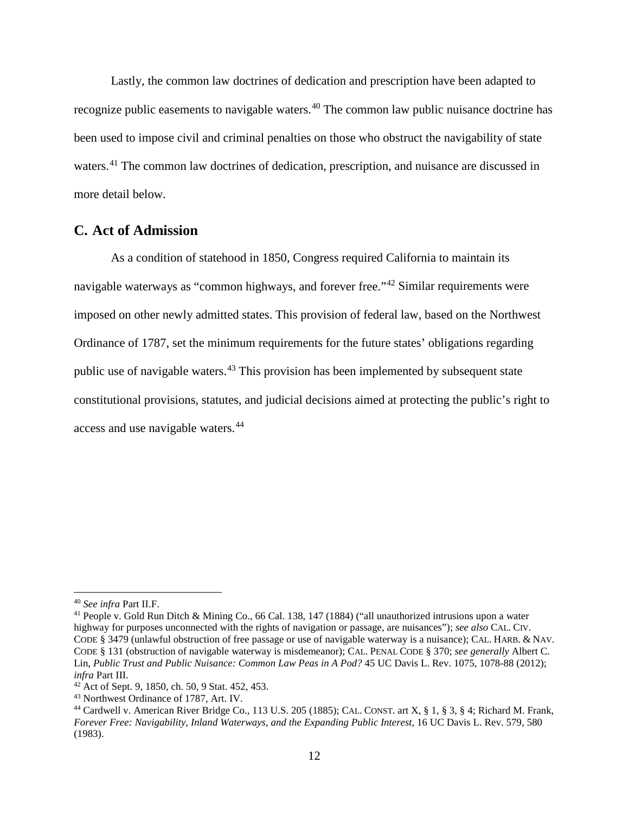Lastly, the common law doctrines of dedication and prescription have been adapted to recognize public easements to navigable waters.<sup>[40](#page-11-1)</sup> The common law public nuisance doctrine has been used to impose civil and criminal penalties on those who obstruct the navigability of state waters.<sup>[41](#page-11-2)</sup> The common law doctrines of dedication, prescription, and nuisance are discussed in more detail below.

# <span id="page-11-0"></span>**C. Act of Admission**

As a condition of statehood in 1850, Congress required California to maintain its navigable waterways as "common highways, and forever free."<sup>[42](#page-11-3)</sup> Similar requirements were imposed on other newly admitted states. This provision of federal law, based on the Northwest Ordinance of 1787, set the minimum requirements for the future states' obligations regarding public use of navigable waters.[43](#page-11-4) This provision has been implemented by subsequent state constitutional provisions, statutes, and judicial decisions aimed at protecting the public's right to access and use navigable waters.<sup>[44](#page-11-5)</sup>

<span id="page-11-1"></span> <sup>40</sup> *See infra* Part II.F.

<span id="page-11-2"></span><sup>41</sup> People v. Gold Run Ditch & Mining Co., 66 Cal. 138, 147 (1884) ("all unauthorized intrusions upon a water highway for purposes unconnected with the rights of navigation or passage, are nuisances"); *see also* CAL. CIV. CODE § 3479 (unlawful obstruction of free passage or use of navigable waterway is a nuisance); CAL. HARB. & NAV. CODE § 131 (obstruction of navigable waterway is misdemeanor); CAL. PENAL CODE § 370; *see generally* Albert C. Lin, *Public Trust and Public Nuisance: Common Law Peas in A Pod?* 45 UC Davis L. Rev. 1075, 1078-88 (2012); *infra* Part III.

<span id="page-11-3"></span> $42$  Act of Sept. 9, 1850, ch. 50, 9 Stat. 452, 453.

<span id="page-11-4"></span><sup>43</sup> Northwest Ordinance of 1787, Art. IV.

<span id="page-11-5"></span><sup>44</sup> Cardwell v. American River Bridge Co., 113 U.S. 205 (1885); CAL. CONST. art X, § 1, § 3, § 4; Richard M. Frank, *Forever Free: Navigability, Inland Waterways, and the Expanding Public Interest*, 16 UC Davis L. Rev. 579, 580 (1983).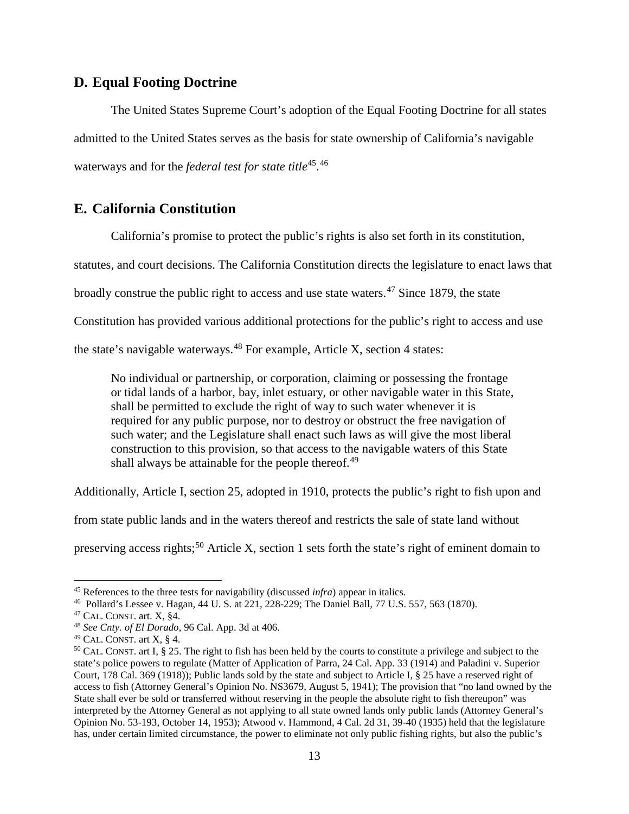# <span id="page-12-0"></span>**D. Equal Footing Doctrine**

The United States Supreme Court's adoption of the Equal Footing Doctrine for all states admitted to the United States serves as the basis for state ownership of California's navigable waterways and for the *federal test for state title*[45.](#page-12-2) [46](#page-12-3)

# <span id="page-12-1"></span>**E. California Constitution**

California's promise to protect the public's rights is also set forth in its constitution,

statutes, and court decisions. The California Constitution directs the legislature to enact laws that

broadly construe the public right to access and use state waters.<sup>[47](#page-12-4)</sup> Since 1879, the state

Constitution has provided various additional protections for the public's right to access and use

the state's navigable waterways.<sup>[48](#page-12-5)</sup> For example, Article X, section 4 states:

No individual or partnership, or corporation, claiming or possessing the frontage or tidal lands of a harbor, bay, inlet estuary, or other navigable water in this State, shall be permitted to exclude the right of way to such water whenever it is required for any public purpose, nor to destroy or obstruct the free navigation of such water; and the Legislature shall enact such laws as will give the most liberal construction to this provision, so that access to the navigable waters of this State shall always be attainable for the people thereof. $49$ 

Additionally, Article I, section 25, adopted in 1910, protects the public's right to fish upon and

from state public lands and in the waters thereof and restricts the sale of state land without

preserving access rights;<sup>[50](#page-12-7)</sup> Article X, section 1 sets forth the state's right of eminent domain to

<span id="page-12-2"></span> <sup>45</sup> References to the three tests for navigability (discussed *infra*) appear in italics.

<span id="page-12-4"></span><span id="page-12-3"></span><sup>&</sup>lt;sup>46</sup> Pollard's Lessee v. Hagan, 44 U. S. at 221, 228-229; The Daniel Ball, 77 U.S. 557, 563 (1870).<br><sup>47</sup> CAL. CONST. art. X, §4.

<span id="page-12-5"></span><sup>&</sup>lt;sup>48</sup> See Cnty. of El Dorado, 96 Cal. App. 3d at 406.

<span id="page-12-6"></span><sup>49</sup> CAL. CONST. art X, § 4.

<span id="page-12-7"></span><sup>&</sup>lt;sup>50</sup> CAL. CONST. art I, § 25. The right to fish has been held by the courts to constitute a privilege and subject to the state's police powers to regulate (Matter of Application of Parra, 24 Cal. App. 33 (1914) and Paladini v. Superior Court, 178 Cal. 369 (1918)); Public lands sold by the state and subject to Article I, § 25 have a reserved right of access to fish (Attorney General's Opinion No. NS3679, August 5, 1941); The provision that "no land owned by the State shall ever be sold or transferred without reserving in the people the absolute right to fish thereupon" was interpreted by the Attorney General as not applying to all state owned lands only public lands (Attorney General's Opinion No. 53-193, October 14, 1953); Atwood v. Hammond, 4 Cal. 2d 31, 39-40 (1935) held that the legislature has, under certain limited circumstance, the power to eliminate not only public fishing rights, but also the public's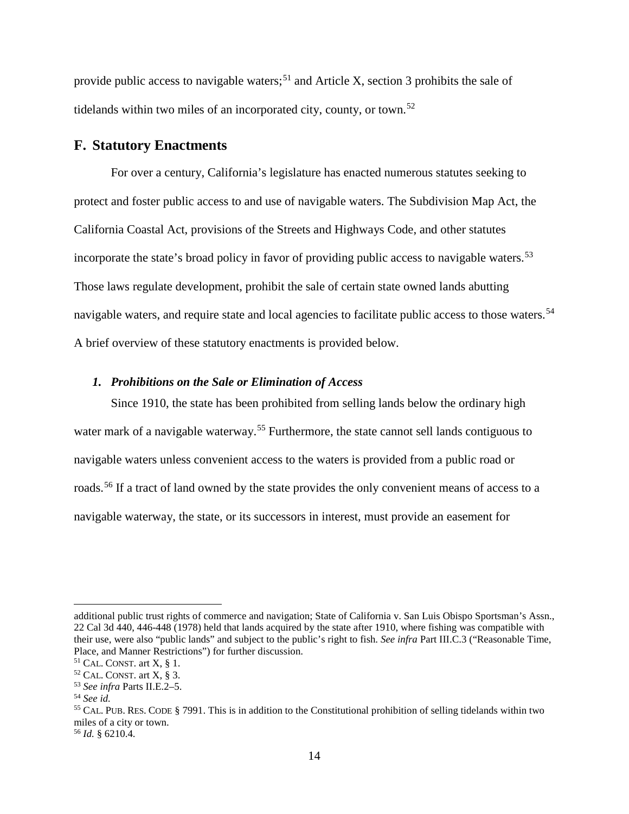provide public access to navigable waters;<sup>[51](#page-13-2)</sup> and Article X, section 3 prohibits the sale of tidelands within two miles of an incorporated city, county, or town.<sup>[52](#page-13-3)</sup>

### <span id="page-13-0"></span>**F. Statutory Enactments**

For over a century, California's legislature has enacted numerous statutes seeking to protect and foster public access to and use of navigable waters. The Subdivision Map Act, the California Coastal Act, provisions of the Streets and Highways Code, and other statutes incorporate the state's broad policy in favor of providing public access to navigable waters.<sup>[53](#page-13-4)</sup> Those laws regulate development, prohibit the sale of certain state owned lands abutting navigable waters, and require state and local agencies to facilitate public access to those waters.<sup>[54](#page-13-5)</sup> A brief overview of these statutory enactments is provided below.

#### <span id="page-13-1"></span>*1. Prohibitions on the Sale or Elimination of Access*

Since 1910, the state has been prohibited from selling lands below the ordinary high water mark of a navigable waterway.<sup>[55](#page-13-6)</sup> Furthermore, the state cannot sell lands contiguous to navigable waters unless convenient access to the waters is provided from a public road or roads.[56](#page-13-7) If a tract of land owned by the state provides the only convenient means of access to a navigable waterway, the state, or its successors in interest, must provide an easement for

 $\overline{a}$ 

additional public trust rights of commerce and navigation; State of California v. San Luis Obispo Sportsman's Assn., 22 Cal 3d 440, 446-448 (1978) held that lands acquired by the state after 1910, where fishing was compatible with their use, were also "public lands" and subject to the public's right to fish. *See infra* Part III.C.3 ("Reasonable Time, Place, and Manner Restrictions") for further discussion.

<span id="page-13-2"></span> $51$  CAL. CONST. art X, § 1.

<span id="page-13-3"></span> $52$  CAL. CONST. art X, § 3.

<span id="page-13-4"></span><sup>53</sup> *See infra* Parts II.E.2–5.

<span id="page-13-5"></span><sup>54</sup> *See id.*

<span id="page-13-6"></span><sup>55</sup> CAL. PUB. RES. CODE § 7991. This is in addition to the Constitutional prohibition of selling tidelands within two miles of a city or town.

<span id="page-13-7"></span><sup>56</sup> *Id.* § 6210.4.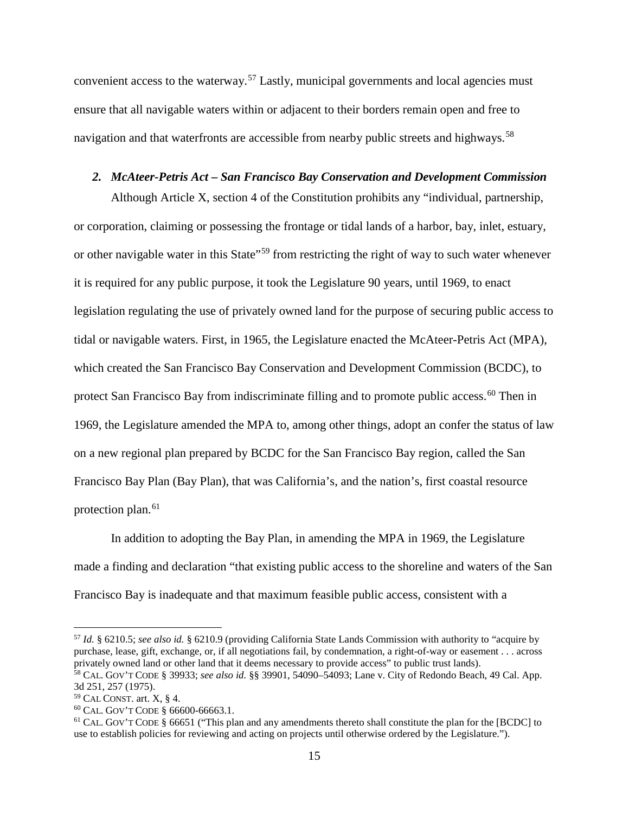convenient access to the waterway.<sup>[57](#page-14-1)</sup> Lastly, municipal governments and local agencies must ensure that all navigable waters within or adjacent to their borders remain open and free to navigation and that waterfronts are accessible from nearby public streets and highways.<sup>[58](#page-14-2)</sup>

#### <span id="page-14-0"></span>*2. McAteer-Petris Act – San Francisco Bay Conservation and Development Commission*

Although Article X, section 4 of the Constitution prohibits any "individual, partnership, or corporation, claiming or possessing the frontage or tidal lands of a harbor, bay, inlet, estuary, or other navigable water in this State<sup>"[59](#page-14-3)</sup> from restricting the right of way to such water whenever it is required for any public purpose, it took the Legislature 90 years, until 1969, to enact legislation regulating the use of privately owned land for the purpose of securing public access to tidal or navigable waters. First, in 1965, the Legislature enacted the McAteer-Petris Act (MPA), which created the San Francisco Bay Conservation and Development Commission (BCDC), to protect San Francisco Bay from indiscriminate filling and to promote public access.<sup>[60](#page-14-4)</sup> Then in 1969, the Legislature amended the MPA to, among other things, adopt an confer the status of law on a new regional plan prepared by BCDC for the San Francisco Bay region, called the San Francisco Bay Plan (Bay Plan), that was California's, and the nation's, first coastal resource protection plan.<sup>[61](#page-14-5)</sup>

In addition to adopting the Bay Plan, in amending the MPA in 1969, the Legislature made a finding and declaration "that existing public access to the shoreline and waters of the San Francisco Bay is inadequate and that maximum feasible public access, consistent with a

<span id="page-14-1"></span> <sup>57</sup> *Id.* § 6210.5; *see also id.* § 6210.9 (providing California State Lands Commission with authority to "acquire by purchase, lease, gift, exchange, or, if all negotiations fail, by condemnation, a right-of-way or easement . . . across privately owned land or other land that it deems necessary to provide access" to public trust lands).

<span id="page-14-2"></span><sup>58</sup> CAL. GOV'T CODE § 39933; *see also id.* §§ 39901, 54090–54093; Lane v. City of Redondo Beach, 49 Cal. App. 3d 251, 257 (1975).

<span id="page-14-3"></span> $59$  CAL CONST. art. X, § 4.

<span id="page-14-4"></span><sup>60</sup> CAL. GOV'T CODE § 66600-66663.1.

<span id="page-14-5"></span><sup>&</sup>lt;sup>61</sup> CAL. GOV'T CODE § 66651 ("This plan and any amendments thereto shall constitute the plan for the [BCDC] to use to establish policies for reviewing and acting on projects until otherwise ordered by the Legislature.").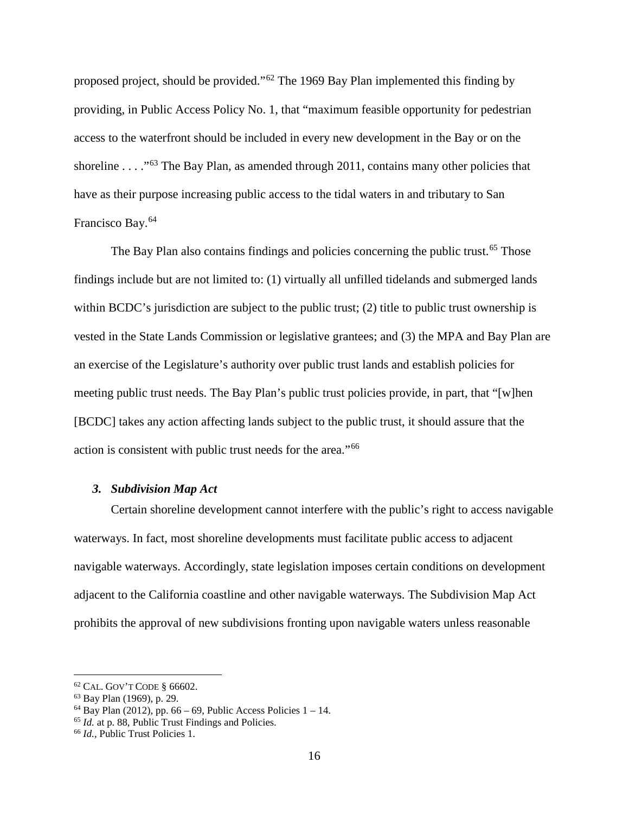proposed project, should be provided."[62](#page-15-1) The 1969 Bay Plan implemented this finding by providing, in Public Access Policy No. 1, that "maximum feasible opportunity for pedestrian access to the waterfront should be included in every new development in the Bay or on the shoreline . . . ."[63](#page-15-2) The Bay Plan, as amended through 2011, contains many other policies that have as their purpose increasing public access to the tidal waters in and tributary to San Francisco Bay.[64](#page-15-3)

The Bay Plan also contains findings and policies concerning the public trust.<sup>[65](#page-15-4)</sup> Those findings include but are not limited to: (1) virtually all unfilled tidelands and submerged lands within BCDC's jurisdiction are subject to the public trust; (2) title to public trust ownership is vested in the State Lands Commission or legislative grantees; and (3) the MPA and Bay Plan are an exercise of the Legislature's authority over public trust lands and establish policies for meeting public trust needs. The Bay Plan's public trust policies provide, in part, that "[w]hen [BCDC] takes any action affecting lands subject to the public trust, it should assure that the action is consistent with public trust needs for the area."[66](#page-15-5)

#### <span id="page-15-0"></span>*3. Subdivision Map Act*

Certain shoreline development cannot interfere with the public's right to access navigable waterways. In fact, most shoreline developments must facilitate public access to adjacent navigable waterways. Accordingly, state legislation imposes certain conditions on development adjacent to the California coastline and other navigable waterways. The Subdivision Map Act prohibits the approval of new subdivisions fronting upon navigable waters unless reasonable

<span id="page-15-1"></span> $62$  CAL. GOV'T CODE  $§$  66602.

<span id="page-15-2"></span><sup>63</sup> Bay Plan (1969), p. 29.

<span id="page-15-4"></span><span id="page-15-3"></span><sup>&</sup>lt;sup>64</sup> Bay Plan (2012), pp. 66 – 69, Public Access Policies  $1 - 14$ .<br><sup>65</sup> *Id.* at p. 88, Public Trust Findings and Policies.

<span id="page-15-5"></span><sup>66</sup> *Id.,* Public Trust Policies 1.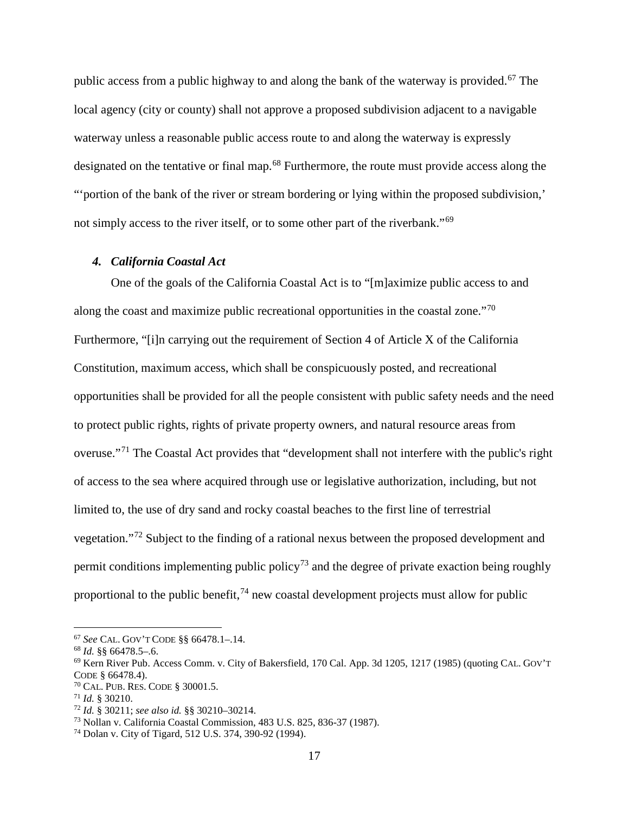public access from a public highway to and along the bank of the waterway is provided.<sup>[67](#page-16-1)</sup> The local agency (city or county) shall not approve a proposed subdivision adjacent to a navigable waterway unless a reasonable public access route to and along the waterway is expressly designated on the tentative or final map.<sup>[68](#page-16-2)</sup> Furthermore, the route must provide access along the "'portion of the bank of the river or stream bordering or lying within the proposed subdivision,' not simply access to the river itself, or to some other part of the riverbank."<sup>[69](#page-16-3)</sup>

#### <span id="page-16-0"></span>*4. California Coastal Act*

One of the goals of the California Coastal Act is to "[m]aximize public access to and along the coast and maximize public recreational opportunities in the coastal zone."[70](#page-16-4) Furthermore, "[i]n carrying out the requirement of Section 4 of Article X of the California Constitution, maximum access, which shall be conspicuously posted, and recreational opportunities shall be provided for all the people consistent with public safety needs and the need to protect public rights, rights of private property owners, and natural resource areas from overuse."[71](#page-16-5) The Coastal Act provides that "development shall not interfere with the public's right of access to the sea where acquired through use or legislative authorization, including, but not limited to, the use of dry sand and rocky coastal beaches to the first line of terrestrial vegetation."[72](#page-16-6) Subject to the finding of a rational nexus between the proposed development and permit conditions implementing public policy<sup>[73](#page-16-7)</sup> and the degree of private exaction being roughly proportional to the public benefit,  $74$  new coastal development projects must allow for public

<span id="page-16-1"></span> <sup>67</sup> *See* CAL. GOV'T CODE §§ 66478.1–.14.

<span id="page-16-2"></span><sup>68</sup> *Id.* §§ 66478.5–.6.

<span id="page-16-3"></span><sup>69</sup> Kern River Pub. Access Comm. v. City of Bakersfield, 170 Cal. App. 3d 1205, 1217 (1985) (quoting CAL. GOV'T CODE § 66478.4).

<span id="page-16-4"></span><sup>70</sup> CAL. PUB. RES. CODE § 30001.5.

<span id="page-16-5"></span><sup>71</sup> *Id.* § 30210.

<span id="page-16-6"></span><sup>72</sup> *Id.* § 30211; *see also id.* §§ 30210–30214.

<span id="page-16-7"></span><sup>73</sup> Nollan v. California Coastal Commission, 483 U.S. 825, 836-37 (1987).

<span id="page-16-8"></span><sup>74</sup> Dolan v. City of Tigard, 512 U.S. 374, 390-92 (1994).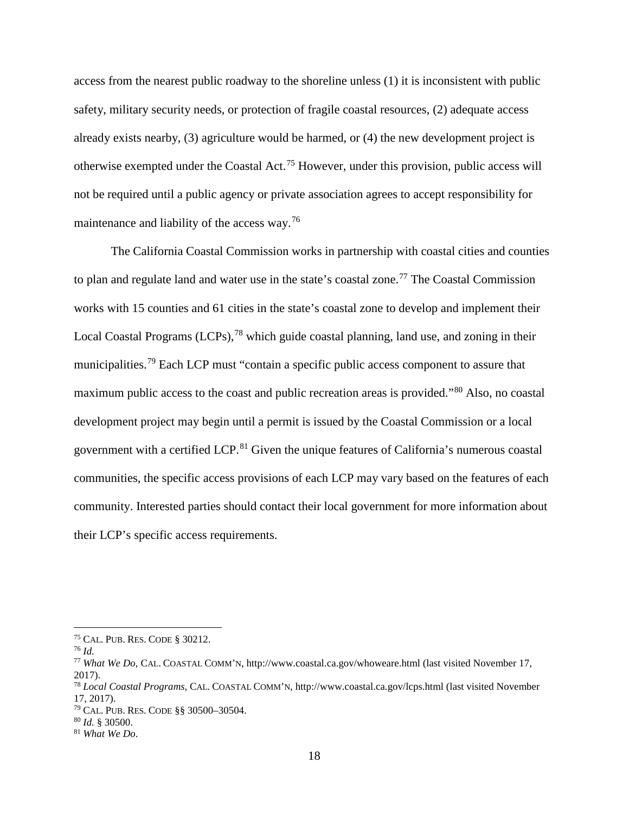access from the nearest public roadway to the shoreline unless (1) it is inconsistent with public safety, military security needs, or protection of fragile coastal resources, (2) adequate access already exists nearby, (3) agriculture would be harmed, or (4) the new development project is otherwise exempted under the Coastal Act.[75](#page-17-0) However, under this provision, public access will not be required until a public agency or private association agrees to accept responsibility for maintenance and liability of the access way.<sup>[76](#page-17-1)</sup>

The California Coastal Commission works in partnership with coastal cities and counties to plan and regulate land and water use in the state's coastal zone.<sup>[77](#page-17-2)</sup> The Coastal Commission works with 15 counties and 61 cities in the state's coastal zone to develop and implement their Local Coastal Programs (LCPs),<sup>[78](#page-17-3)</sup> which guide coastal planning, land use, and zoning in their municipalities.<sup>[79](#page-17-4)</sup> Each LCP must "contain a specific public access component to assure that maximum public access to the coast and public recreation areas is provided."[80](#page-17-5) Also, no coastal development project may begin until a permit is issued by the Coastal Commission or a local government with a certified LCP.<sup>[81](#page-17-6)</sup> Given the unique features of California's numerous coastal communities, the specific access provisions of each LCP may vary based on the features of each community. Interested parties should contact their local government for more information about their LCP's specific access requirements.

<span id="page-17-5"></span><sup>80</sup> *Id.* § 30500.

<span id="page-17-0"></span> <sup>75</sup> CAL. PUB. RES. CODE § 30212.

<span id="page-17-1"></span><sup>76</sup> *Id.*

<span id="page-17-2"></span><sup>77</sup> *What We Do*, CAL. COASTAL COMM'N, http://www.coastal.ca.gov/whoweare.html (last visited November 17, 2017).

<span id="page-17-3"></span><sup>78</sup> *Local Coastal Programs*, CAL. COASTAL COMM'N, http://www.coastal.ca.gov/lcps.html (last visited November 17, 2017).

<span id="page-17-4"></span><sup>79</sup> CAL. PUB. RES. CODE §§ 30500–30504.

<span id="page-17-6"></span><sup>81</sup> *What We Do*.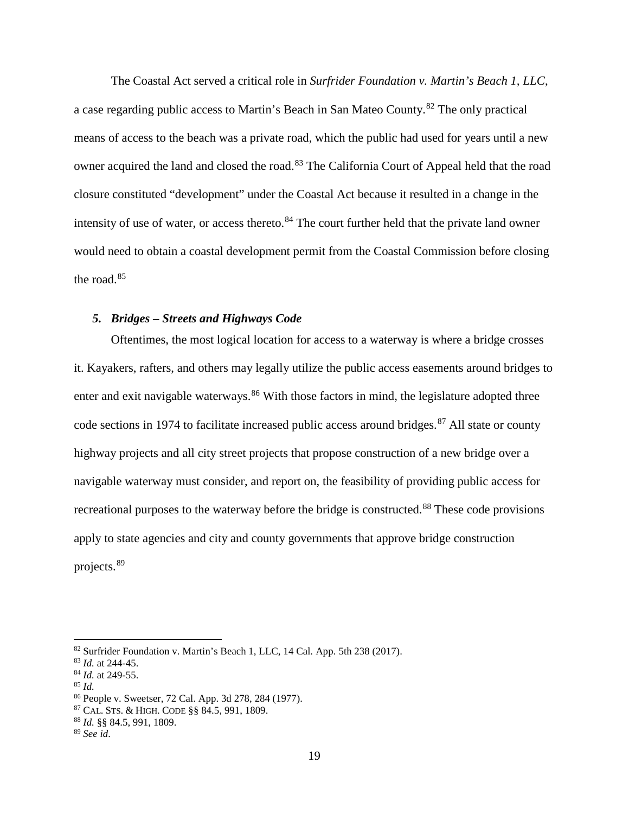The Coastal Act served a critical role in *Surfrider Foundation v. Martin's Beach 1, LLC*, a case regarding public access to Martin's Beach in San Mateo County.[82](#page-18-1) The only practical means of access to the beach was a private road, which the public had used for years until a new owner acquired the land and closed the road.<sup>[83](#page-18-2)</sup> The California Court of Appeal held that the road closure constituted "development" under the Coastal Act because it resulted in a change in the intensity of use of water, or access thereto.<sup>[84](#page-18-3)</sup> The court further held that the private land owner would need to obtain a coastal development permit from the Coastal Commission before closing the road.<sup>[85](#page-18-4)</sup>

### <span id="page-18-0"></span>*5. Bridges – Streets and Highways Code*

Oftentimes, the most logical location for access to a waterway is where a bridge crosses it. Kayakers, rafters, and others may legally utilize the public access easements around bridges to enter and exit navigable waterways.<sup>[86](#page-18-5)</sup> With those factors in mind, the legislature adopted three code sections in 1974 to facilitate increased public access around bridges. [87](#page-18-6) All state or county highway projects and all city street projects that propose construction of a new bridge over a navigable waterway must consider, and report on, the feasibility of providing public access for recreational purposes to the waterway before the bridge is constructed.<sup>[88](#page-18-7)</sup> These code provisions apply to state agencies and city and county governments that approve bridge construction projects.[89](#page-18-8)

<span id="page-18-1"></span><sup>&</sup>lt;sup>82</sup> Surfrider Foundation v. Martin's Beach 1, LLC, 14 Cal. App. 5th 238 (2017).

<span id="page-18-2"></span><sup>83</sup> *Id.* at 244-45.

<span id="page-18-3"></span><sup>84</sup> *Id.* at 249-55.

<span id="page-18-4"></span><sup>85</sup> *Id.*

<span id="page-18-5"></span><sup>86</sup> People v. Sweetser, 72 Cal. App. 3d 278, 284 (1977).

<span id="page-18-6"></span><sup>87</sup> CAL. STS. & HIGH. CODE §§ 84.5, 991, 1809.

<span id="page-18-7"></span><sup>88</sup> *Id.* §§ 84.5, 991, 1809.

<span id="page-18-8"></span><sup>89</sup> *See id*.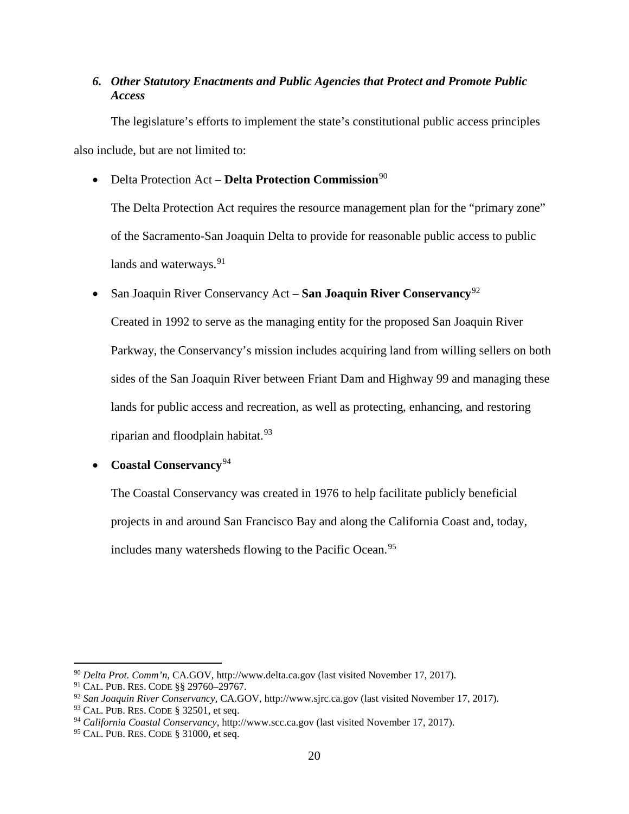# <span id="page-19-0"></span>*6. Other Statutory Enactments and Public Agencies that Protect and Promote Public Access*

The legislature's efforts to implement the state's constitutional public access principles also include, but are not limited to:

• Delta Protection Act – **Delta Protection Commission**<sup>[90](#page-19-1)</sup>

The Delta Protection Act requires the resource management plan for the "primary zone" of the Sacramento-San Joaquin Delta to provide for reasonable public access to public lands and waterways.<sup>[91](#page-19-2)</sup>

• San Joaquin River Conservancy Act – **San Joaquin River Conservancy**[92](#page-19-3)

Created in 1992 to serve as the managing entity for the proposed San Joaquin River Parkway, the Conservancy's mission includes acquiring land from willing sellers on both sides of the San Joaquin River between Friant Dam and Highway 99 and managing these lands for public access and recreation, as well as protecting, enhancing, and restoring riparian and floodplain habitat. $93$ 

• **Coastal Conservancy**[94](#page-19-5)

The Coastal Conservancy was created in 1976 to help facilitate publicly beneficial projects in and around San Francisco Bay and along the California Coast and, today, includes many watersheds flowing to the Pacific Ocean. [95](#page-19-6)

<span id="page-19-1"></span> <sup>90</sup> *Delta Prot. Comm'n*, CA.GOV, http://www.delta.ca.gov (last visited November 17, 2017).

<span id="page-19-2"></span><sup>91</sup> CAL. PUB. RES. CODE §§ 29760–29767.

<span id="page-19-3"></span><sup>92</sup> *San Joaquin River Conservancy*, CA.GOV, http://www.sjrc.ca.gov (last visited November 17, 2017).

<span id="page-19-4"></span><sup>93</sup> CAL. PUB. RES. CODE § 32501, et seq.

<span id="page-19-5"></span><sup>94</sup> *California Coastal Conservancy*, http://www.scc.ca.gov (last visited November 17, 2017).

<span id="page-19-6"></span><sup>95</sup> CAL. PUB. RES. CODE § 31000, et seq.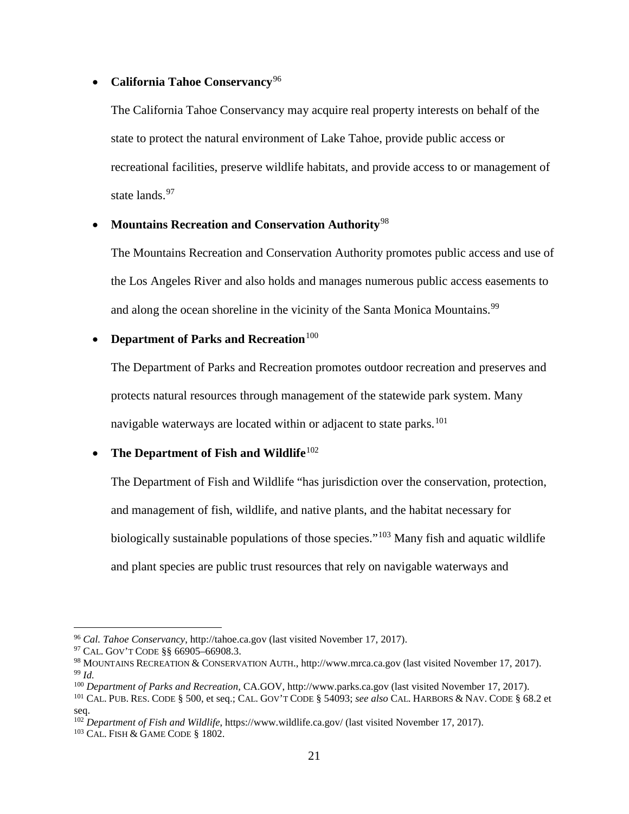### • **California Tahoe Conservancy**[96](#page-20-0)

The California Tahoe Conservancy may acquire real property interests on behalf of the state to protect the natural environment of Lake Tahoe, provide public access or recreational facilities, preserve wildlife habitats, and provide access to or management of state lands.<sup>[97](#page-20-1)</sup>

### • **Mountains Recreation and Conservation Authority**[98](#page-20-2)

The Mountains Recreation and Conservation Authority promotes public access and use of the Los Angeles River and also holds and manages numerous public access easements to and along the ocean shoreline in the vicinity of the Santa Monica Mountains.<sup>[99](#page-20-3)</sup>

# • **Department of Parks and Recreation**<sup>[100](#page-20-4)</sup>

The Department of Parks and Recreation promotes outdoor recreation and preserves and protects natural resources through management of the statewide park system. Many navigable waterways are located within or adjacent to state parks.<sup>[101](#page-20-5)</sup>

# • The Department of Fish and Wildlife<sup>[102](#page-20-6)</sup>

The Department of Fish and Wildlife "has jurisdiction over the conservation, protection, and management of fish, wildlife, and native plants, and the habitat necessary for biologically sustainable populations of those species."<sup>[103](#page-20-7)</sup> Many fish and aquatic wildlife and plant species are public trust resources that rely on navigable waterways and

<span id="page-20-0"></span> <sup>96</sup> *Cal. Tahoe Conservancy*, http://tahoe.ca.gov (last visited November 17, 2017).

<span id="page-20-1"></span><sup>&</sup>lt;sup>97</sup> CAL. GOV'T CODE §§ 66905–66908.3.

<span id="page-20-3"></span><span id="page-20-2"></span><sup>98</sup> MOUNTAINS RECREATION & CONSERVATION AUTH., http://www.mrca.ca.gov (last visited November 17, 2017). <sup>99</sup> *Id.*

<span id="page-20-4"></span><sup>100</sup> *Department of Parks and Recreation,* CA.GOV, http://www.parks.ca.gov (last visited November 17, 2017).

<span id="page-20-5"></span><sup>101</sup> CAL. PUB. RES. CODE § 500, et seq.; CAL. GOV'T CODE § 54093; *see also* CAL. HARBORS & NAV. CODE § 68.2 et seq.

<sup>102</sup> *Department of Fish and Wildlife*, https://www.wildlife.ca.gov/ (last visited November 17, 2017).

<span id="page-20-7"></span><span id="page-20-6"></span><sup>103</sup> CAL. FISH & GAME CODE § 1802.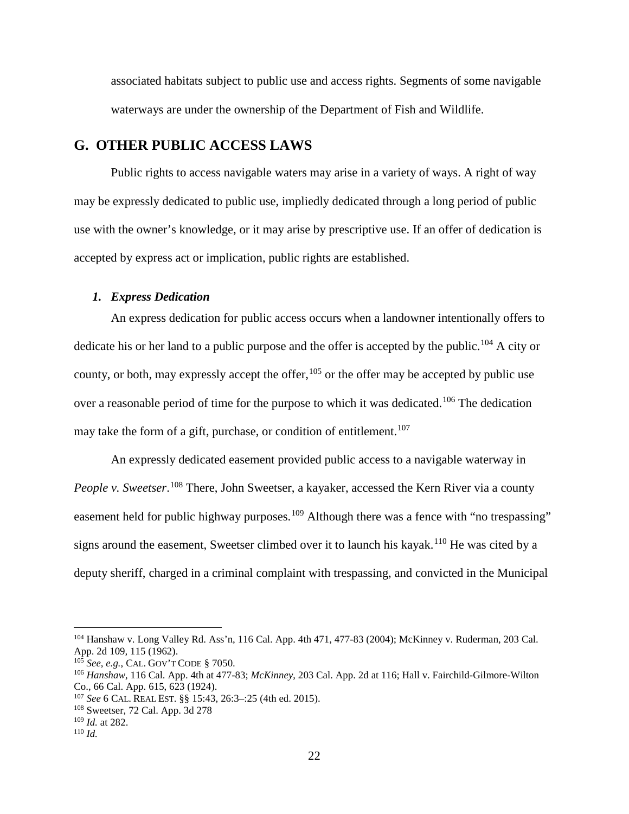associated habitats subject to public use and access rights. Segments of some navigable waterways are under the ownership of the Department of Fish and Wildlife.

# <span id="page-21-0"></span>**G. OTHER PUBLIC ACCESS LAWS**

Public rights to access navigable waters may arise in a variety of ways. A right of way may be expressly dedicated to public use, impliedly dedicated through a long period of public use with the owner's knowledge, or it may arise by prescriptive use. If an offer of dedication is accepted by express act or implication, public rights are established.

#### <span id="page-21-1"></span>*1. Express Dedication*

An express dedication for public access occurs when a landowner intentionally offers to dedicate his or her land to a public purpose and the offer is accepted by the public.<sup>[104](#page-21-2)</sup> A city or county, or both, may expressly accept the offer,  $105$  or the offer may be accepted by public use over a reasonable period of time for the purpose to which it was dedicated.<sup>[106](#page-21-4)</sup> The dedication may take the form of a gift, purchase, or condition of entitlement.<sup>[107](#page-21-5)</sup>

An expressly dedicated easement provided public access to a navigable waterway in People v. Sweetser.<sup>[108](#page-21-6)</sup> There, John Sweetser, a kayaker, accessed the Kern River via a county easement held for public highway purposes.<sup>[109](#page-21-7)</sup> Although there was a fence with "no trespassing" signs around the easement, Sweetser climbed over it to launch his kayak.<sup>[110](#page-21-8)</sup> He was cited by a deputy sheriff, charged in a criminal complaint with trespassing, and convicted in the Municipal

<span id="page-21-2"></span> <sup>104</sup> Hanshaw v. Long Valley Rd. Ass'n, 116 Cal. App. 4th 471, 477-83 (2004); McKinney v. Ruderman, 203 Cal. App. 2d 109*,* 115 (1962).

<span id="page-21-3"></span><sup>105</sup> *See, e.g.*, CAL. GOV'T CODE § 7050.

<span id="page-21-4"></span><sup>106</sup> *Hanshaw*, 116 Cal. App. 4th at 477-83; *McKinney*, 203 Cal. App. 2d at 116; Hall v. Fairchild-Gilmore-Wilton Co., 66 Cal. App. 615, 623 (1924).

<span id="page-21-5"></span><sup>107</sup> *See* 6 CAL. REAL EST. §§ 15:43, 26:3–:25 (4th ed. 2015).

<span id="page-21-6"></span><sup>108</sup> Sweetser, 72 Cal. App. 3d 278

<span id="page-21-7"></span><sup>109</sup> *Id.* at 282.

<span id="page-21-8"></span><sup>110</sup> *Id.*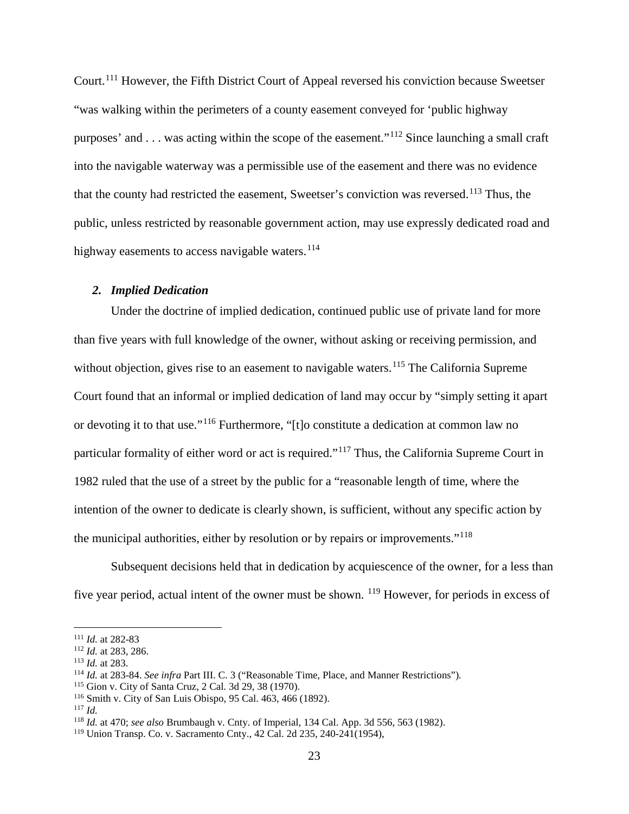Court.<sup>[111](#page-22-1)</sup> However, the Fifth District Court of Appeal reversed his conviction because Sweetser "was walking within the perimeters of a county easement conveyed for 'public highway purposes' and  $\ldots$  was acting within the scope of the easement."<sup>[112](#page-22-2)</sup> Since launching a small craft into the navigable waterway was a permissible use of the easement and there was no evidence that the county had restricted the easement, Sweetser's conviction was reversed.<sup>[113](#page-22-3)</sup> Thus, the public, unless restricted by reasonable government action, may use expressly dedicated road and highway easements to access navigable waters.<sup>[114](#page-22-4)</sup>

### <span id="page-22-0"></span>*2. Implied Dedication*

Under the doctrine of implied dedication, continued public use of private land for more than five years with full knowledge of the owner, without asking or receiving permission, and without objection, gives rise to an easement to navigable waters.<sup>[115](#page-22-5)</sup> The California Supreme Court found that an informal or implied dedication of land may occur by "simply setting it apart or devoting it to that use."[116](#page-22-6) Furthermore, "[t]o constitute a dedication at common law no particular formality of either word or act is required."[117](#page-22-7) Thus, the California Supreme Court in 1982 ruled that the use of a street by the public for a "reasonable length of time, where the intention of the owner to dedicate is clearly shown, is sufficient, without any specific action by the municipal authorities, either by resolution or by repairs or improvements."[118](#page-22-8)

Subsequent decisions held that in dedication by acquiescence of the owner, for a less than five year period, actual intent of the owner must be shown. [119](#page-22-9) However, for periods in excess of

<span id="page-22-1"></span> <sup>111</sup> *Id.* at 282-83

<span id="page-22-2"></span><sup>112</sup> *Id.* at 283, 286.

<span id="page-22-3"></span><sup>113</sup> *Id.* at 283.

<span id="page-22-4"></span><sup>114</sup> *Id.* at 283-84. *See infra* Part III. C. 3 ("Reasonable Time, Place, and Manner Restrictions")*.*

<span id="page-22-5"></span><sup>115</sup> Gion v. City of Santa Cruz, 2 Cal. 3d 29, 38 (1970).

<span id="page-22-6"></span><sup>116</sup> Smith v. City of San Luis Obispo, 95 Cal. 463, 466 (1892).

<span id="page-22-7"></span><sup>117</sup> *Id.*

<span id="page-22-8"></span><sup>118</sup> *Id.* at 470; *see also* Brumbaugh v. Cnty. of Imperial, 134 Cal. App. 3d 556, 563 (1982).

<span id="page-22-9"></span><sup>119</sup> Union Transp. Co. v. Sacramento Cnty., 42 Cal. 2d 235, 240-241(1954),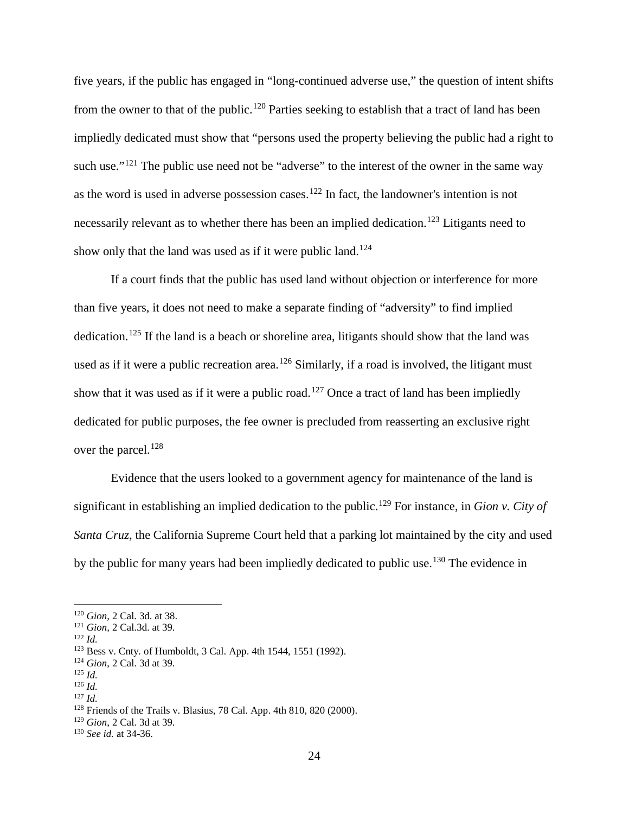five years, if the public has engaged in "long-continued adverse use," the question of intent shifts from the owner to that of the public.<sup>[120](#page-23-0)</sup> Parties seeking to establish that a tract of land has been impliedly dedicated must show that "persons used the property believing the public had a right to such use."<sup>[121](#page-23-1)</sup> The public use need not be "adverse" to the interest of the owner in the same way as the word is used in adverse possession cases.<sup>[122](#page-23-2)</sup> In fact, the landowner's intention is not necessarily relevant as to whether there has been an implied dedication.<sup>[123](#page-23-3)</sup> Litigants need to show only that the land was used as if it were public land.<sup>[124](#page-23-4)</sup>

If a court finds that the public has used land without objection or interference for more than five years, it does not need to make a separate finding of "adversity" to find implied dedication.<sup>[125](#page-23-5)</sup> If the land is a beach or shoreline area, litigants should show that the land was used as if it were a public recreation area.<sup>[126](#page-23-6)</sup> Similarly, if a road is involved, the litigant must show that it was used as if it were a public road.<sup>[127](#page-23-7)</sup> Once a tract of land has been impliedly dedicated for public purposes, the fee owner is precluded from reasserting an exclusive right over the parcel.<sup>[128](#page-23-8)</sup>

Evidence that the users looked to a government agency for maintenance of the land is significant in establishing an implied dedication to the public.<sup>[129](#page-23-9)</sup> For instance, in *Gion v. City of Santa Cruz*, the California Supreme Court held that a parking lot maintained by the city and used by the public for many years had been impliedly dedicated to public use.<sup>[130](#page-23-10)</sup> The evidence in

<span id="page-23-0"></span> <sup>120</sup> *Gion*, 2 Cal. 3d. at 38.

<sup>121</sup> *Gion,* 2 Cal.3d. at 39.

<span id="page-23-2"></span><span id="page-23-1"></span><sup>122</sup> *Id.*

<span id="page-23-3"></span><sup>123</sup> Bess v. Cnty. of Humboldt, 3 Cal. App. 4th 1544, 1551 (1992).

<span id="page-23-4"></span><sup>124</sup> *Gion*, 2 Cal. 3d at 39.

<span id="page-23-5"></span><sup>125</sup> *Id.*

<span id="page-23-7"></span><span id="page-23-6"></span><sup>126</sup> *Id.* <sup>127</sup> *Id.*

<span id="page-23-8"></span><sup>128</sup> Friends of the Trails v. Blasius, 78 Cal. App. 4th 810, 820 (2000).

<span id="page-23-9"></span><sup>129</sup> *Gion*, 2 Cal. 3d at 39.

<span id="page-23-10"></span><sup>130</sup> *See id.* at 34-36.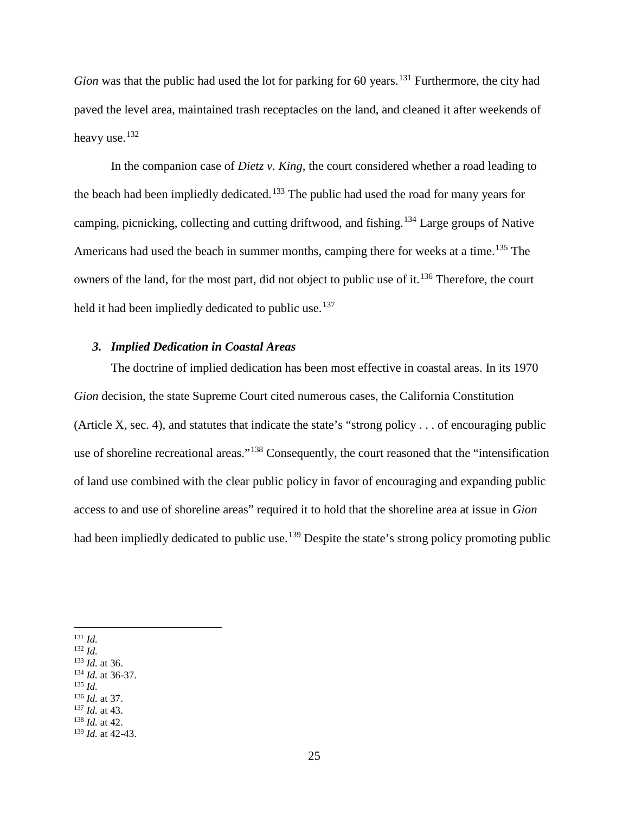*Gion* was that the public had used the lot for parking for 60 years.<sup>[131](#page-24-1)</sup> Furthermore, the city had paved the level area, maintained trash receptacles on the land, and cleaned it after weekends of heavy use.<sup>[132](#page-24-2)</sup>

In the companion case of *Dietz v. King*, the court considered whether a road leading to the beach had been impliedly dedicated.<sup>[133](#page-24-3)</sup> The public had used the road for many years for camping, picnicking, collecting and cutting driftwood, and fishing.[134](#page-24-4) Large groups of Native Americans had used the beach in summer months, camping there for weeks at a time.<sup>[135](#page-24-5)</sup> The owners of the land, for the most part, did not object to public use of it.<sup>[136](#page-24-6)</sup> Therefore, the court held it had been impliedly dedicated to public use.<sup>[137](#page-24-7)</sup>

#### <span id="page-24-0"></span>*3. Implied Dedication in Coastal Areas*

The doctrine of implied dedication has been most effective in coastal areas. In its 1970 *Gion* decision, the state Supreme Court cited numerous cases, the California Constitution (Article X, sec. 4), and statutes that indicate the state's "strong policy . . . of encouraging public use of shoreline recreational areas."[138](#page-24-8) Consequently, the court reasoned that the "intensification of land use combined with the clear public policy in favor of encouraging and expanding public access to and use of shoreline areas" required it to hold that the shoreline area at issue in *Gion* had been impliedly dedicated to public use.<sup>[139](#page-24-9)</sup> Despite the state's strong policy promoting public

<span id="page-24-1"></span>131 *Id.*

<span id="page-24-2"></span><sup>132</sup> *Id.*

<span id="page-24-3"></span><sup>133</sup> *Id.* at 36.

<span id="page-24-4"></span><sup>134</sup> *Id.* at 36-37.

<span id="page-24-5"></span><sup>135</sup> *Id.*

<span id="page-24-6"></span><sup>136</sup> *Id.* at 37.

<span id="page-24-7"></span><sup>137</sup> *Id.* at 43.

<span id="page-24-8"></span><sup>138</sup> *Id.* at 42.

<span id="page-24-9"></span><sup>139</sup> *Id.* at 42-43.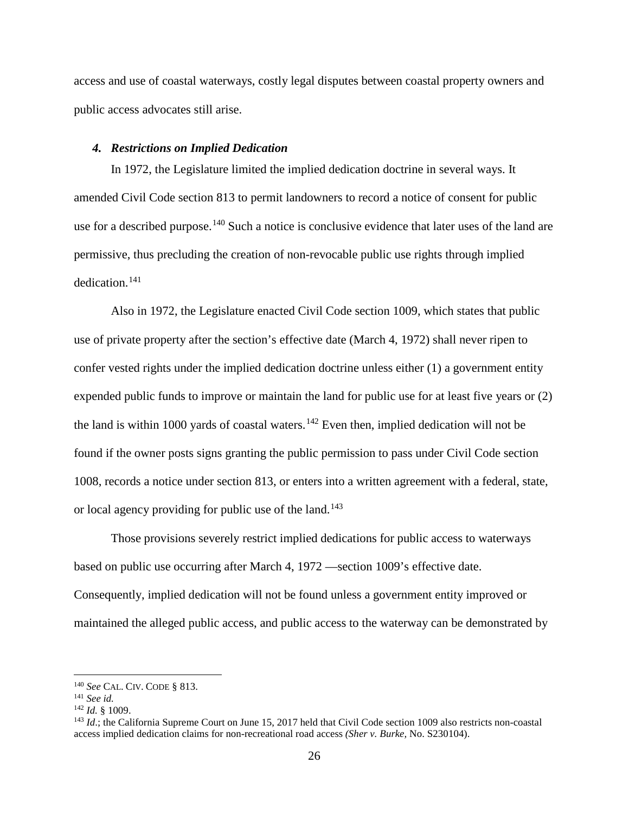access and use of coastal waterways, costly legal disputes between coastal property owners and public access advocates still arise.

#### <span id="page-25-0"></span>*4. Restrictions on Implied Dedication*

In 1972, the Legislature limited the implied dedication doctrine in several ways. It amended Civil Code section 813 to permit landowners to record a notice of consent for public use for a described purpose.<sup>[140](#page-25-1)</sup> Such a notice is conclusive evidence that later uses of the land are permissive, thus precluding the creation of non-revocable public use rights through implied dedication.[141](#page-25-2)

Also in 1972, the Legislature enacted Civil Code section 1009, which states that public use of private property after the section's effective date (March 4, 1972) shall never ripen to confer vested rights under the implied dedication doctrine unless either (1) a government entity expended public funds to improve or maintain the land for public use for at least five years or (2) the land is within 1000 yards of coastal waters.<sup>[142](#page-25-3)</sup> Even then, implied dedication will not be found if the owner posts signs granting the public permission to pass under Civil Code section 1008, records a notice under section 813, or enters into a written agreement with a federal, state, or local agency providing for public use of the land.<sup>[143](#page-25-4)</sup>

Those provisions severely restrict implied dedications for public access to waterways based on public use occurring after March 4, 1972 —section 1009's effective date. Consequently, implied dedication will not be found unless a government entity improved or maintained the alleged public access, and public access to the waterway can be demonstrated by

<span id="page-25-1"></span> <sup>140</sup> *See* CAL. CIV. CODE § 813.

<span id="page-25-2"></span><sup>141</sup> *See id.*

<span id="page-25-3"></span><sup>142</sup> *Id.* § 1009.

<span id="page-25-4"></span><sup>&</sup>lt;sup>143</sup> *Id*.; the California Supreme Court on June 15, 2017 held that Civil Code section 1009 also restricts non-coastal access implied dedication claims for non-recreational road access *(Sher v. Burke,* No. S230104).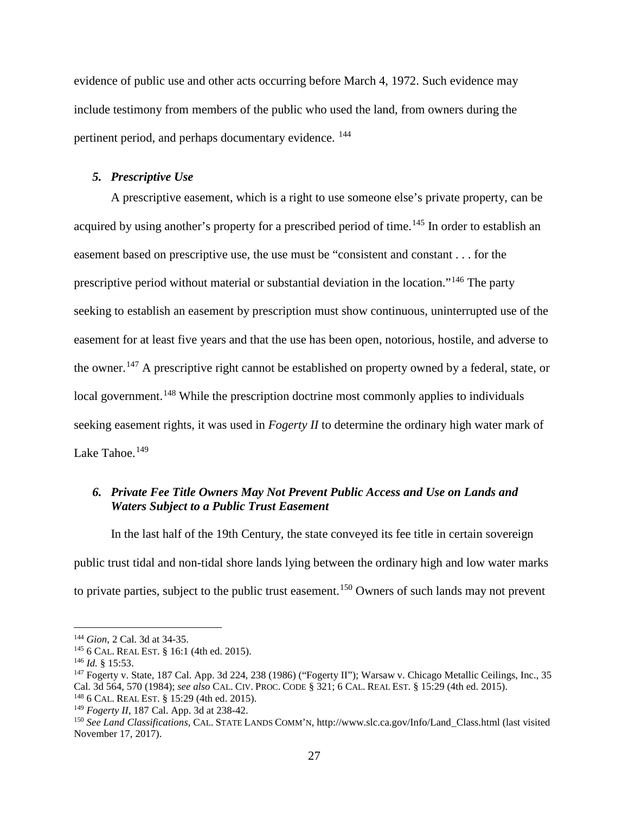evidence of public use and other acts occurring before March 4, 1972. Such evidence may include testimony from members of the public who used the land, from owners during the pertinent period, and perhaps documentary evidence. [144](#page-26-2)

#### <span id="page-26-0"></span>*5. Prescriptive Use*

A prescriptive easement, which is a right to use someone else's private property, can be acquired by using another's property for a prescribed period of time.<sup>[145](#page-26-3)</sup> In order to establish an easement based on prescriptive use, the use must be "consistent and constant . . . for the prescriptive period without material or substantial deviation in the location."[146](#page-26-4) The party seeking to establish an easement by prescription must show continuous, uninterrupted use of the easement for at least five years and that the use has been open, notorious, hostile, and adverse to the owner.<sup>[147](#page-26-5)</sup> A prescriptive right cannot be established on property owned by a federal, state, or local government.<sup>[148](#page-26-6)</sup> While the prescription doctrine most commonly applies to individuals seeking easement rights, it was used in *Fogerty II* to determine the ordinary high water mark of Lake Tahoe.<sup>[149](#page-26-7)</sup>

### <span id="page-26-1"></span>*6. Private Fee Title Owners May Not Prevent Public Access and Use on Lands and Waters Subject to a Public Trust Easement*

In the last half of the 19th Century, the state conveyed its fee title in certain sovereign public trust tidal and non-tidal shore lands lying between the ordinary high and low water marks to private parties, subject to the public trust easement.<sup>[150](#page-26-8)</sup> Owners of such lands may not prevent

<span id="page-26-2"></span> <sup>144</sup> *Gion*, 2 Cal. 3d at 34-35.

<span id="page-26-3"></span><sup>145</sup> 6 CAL. REAL EST. § 16:1 (4th ed. 2015).

<span id="page-26-4"></span><sup>146</sup> *Id.* § 15:53.

<span id="page-26-5"></span><sup>&</sup>lt;sup>147</sup> Fogerty v. State, 187 Cal. App. 3d 224, 238 (1986) ("Fogerty II"); Warsaw v. Chicago Metallic Ceilings, Inc., 35 Cal. 3d 564, 570 (1984); *see also* CAL. CIV. PROC. CODE § 321; 6 CAL. REAL EST. § 15:29 (4th ed. 2015). <sup>148</sup> 6 CAL. REAL EST. § 15:29 (4th ed. 2015).

<span id="page-26-6"></span><sup>149</sup> *Fogerty II*, 187 Cal. App. 3d at 238-42.

<span id="page-26-8"></span><span id="page-26-7"></span><sup>150</sup> *See Land Classifications*, CAL. STATE LANDS COMM'N, http://www.slc.ca.gov/Info/Land\_Class.html (last visited November 17, 2017).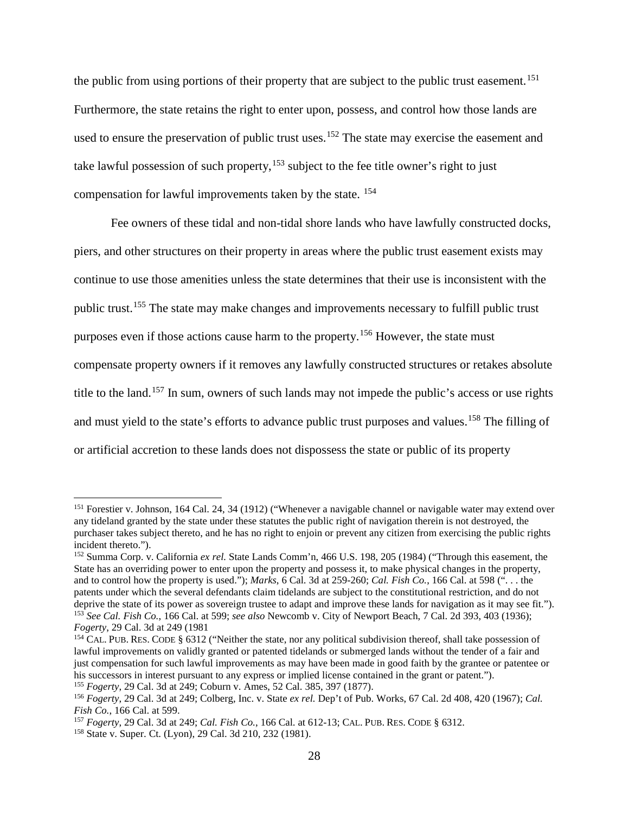the public from using portions of their property that are subject to the public trust easement.<sup>[151](#page-27-0)</sup> Furthermore, the state retains the right to enter upon, possess, and control how those lands are used to ensure the preservation of public trust uses.<sup>[152](#page-27-1)</sup> The state may exercise the easement and take lawful possession of such property, <sup>[153](#page-27-2)</sup> subject to the fee title owner's right to just compensation for lawful improvements taken by the state. [154](#page-27-3)

Fee owners of these tidal and non-tidal shore lands who have lawfully constructed docks, piers, and other structures on their property in areas where the public trust easement exists may continue to use those amenities unless the state determines that their use is inconsistent with the public trust.[155](#page-27-4) The state may make changes and improvements necessary to fulfill public trust purposes even if those actions cause harm to the property.[156](#page-27-5) However, the state must compensate property owners if it removes any lawfully constructed structures or retakes absolute title to the land.<sup>[157](#page-27-6)</sup> In sum, owners of such lands may not impede the public's access or use rights and must yield to the state's efforts to advance public trust purposes and values.<sup>[158](#page-27-7)</sup> The filling of or artificial accretion to these lands does not dispossess the state or public of its property

<span id="page-27-0"></span><sup>&</sup>lt;sup>151</sup> Forestier v. Johnson, 164 Cal. 24, 34 (1912) ("Whenever a navigable channel or navigable water may extend over any tideland granted by the state under these statutes the public right of navigation therein is not destroyed, the purchaser takes subject thereto, and he has no right to enjoin or prevent any citizen from exercising the public rights incident thereto.").

<span id="page-27-1"></span><sup>152</sup> Summa Corp. v. California *ex rel.* State Lands Comm'n, 466 U.S. 198, 205 (1984) ("Through this easement, the State has an overriding power to enter upon the property and possess it, to make physical changes in the property, and to control how the property is used."); *Marks*, 6 Cal. 3d at 259-260; *Cal. Fish Co.*, 166 Cal. at 598 (". . . the patents under which the several defendants claim tidelands are subject to the constitutional restriction, and do not deprive the state of its power as sovereign trustee to adapt and improve these lands for navigation as it may see fit."). <sup>153</sup> *See Cal. Fish Co.*, 166 Cal. at 599; *see also* Newcomb v. City of Newport Beach, 7 Cal. 2d 393, 403 (1936); *Fogerty*, 29 Cal. 3d at 249 (1981

<span id="page-27-3"></span><span id="page-27-2"></span><sup>&</sup>lt;sup>154</sup> CAL. PUB. RES. CODE § 6312 ("Neither the state, nor any political subdivision thereof, shall take possession of lawful improvements on validly granted or patented tidelands or submerged lands without the tender of a fair and just compensation for such lawful improvements as may have been made in good faith by the grantee or patentee or his successors in interest pursuant to any express or implied license contained in the grant or patent.").

<span id="page-27-4"></span><sup>155</sup> *Fogerty*, 29 Cal. 3d at 249; Coburn v. Ames, 52 Cal. 385, 397 (1877).

<span id="page-27-5"></span><sup>156</sup> *Fogerty*, 29 Cal. 3d at 249; Colberg, Inc. v. State *ex rel.* Dep't of Pub. Works, 67 Cal. 2d 408, 420 (1967); *Cal. Fish Co.*, 166 Cal. at 599.

<span id="page-27-6"></span><sup>157</sup> *Fogerty*, 29 Cal. 3d at 249; *Cal. Fish Co.*, 166 Cal. at 612-13; CAL. PUB. RES. CODE § 6312.

<span id="page-27-7"></span><sup>158</sup> State v. Super. Ct. (Lyon), 29 Cal. 3d 210, 232 (1981).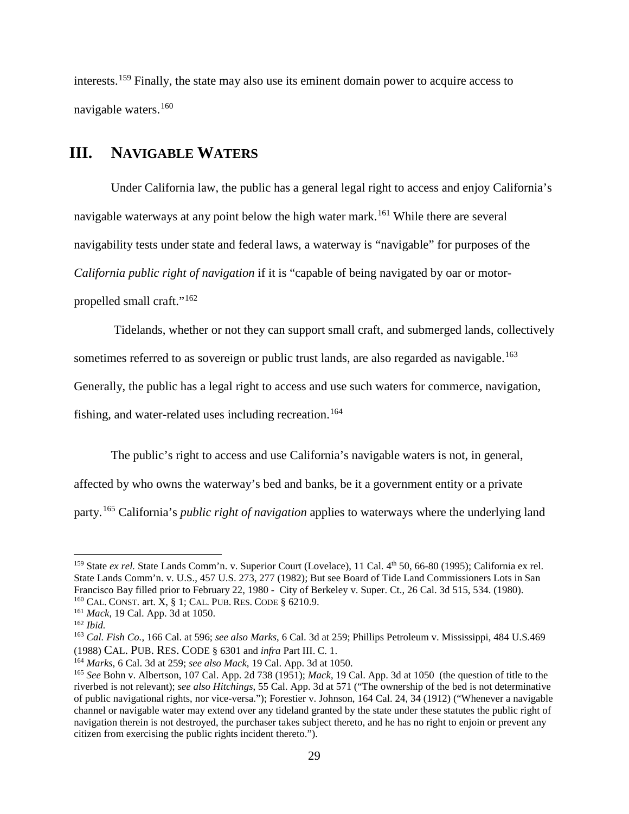interests. [159](#page-28-1) Finally, the state may also use its eminent domain power to acquire access to navigable waters.[160](#page-28-2)

# <span id="page-28-0"></span>**III. NAVIGABLE WATERS**

Under California law, the public has a general legal right to access and enjoy California's navigable waterways at any point below the high water mark.<sup>[161](#page-28-3)</sup> While there are several navigability tests under state and federal laws, a waterway is "navigable" for purposes of the *California public right of navigation* if it is "capable of being navigated by oar or motorpropelled small craft."[162](#page-28-4)

Tidelands, whether or not they can support small craft, and submerged lands, collectively

sometimes referred to as sovereign or public trust lands, are also regarded as navigable.<sup>[163](#page-28-5)</sup>

Generally, the public has a legal right to access and use such waters for commerce, navigation,

fishing, and water-related uses including recreation.<sup>[164](#page-28-6)</sup>

The public's right to access and use California's navigable waters is not, in general,

affected by who owns the waterway's bed and banks, be it a government entity or a private

party.[165](#page-28-7) California's *public right of navigation* applies to waterways where the underlying land

<span id="page-28-1"></span><sup>&</sup>lt;sup>159</sup> State *ex rel.* State Lands Comm'n. v. Superior Court (Lovelace), 11 Cal. 4<sup>th</sup> 50, 66-80 (1995); California ex rel. State Lands Comm'n. v. U.S., 457 U.S. 273, 277 (1982); But see Board of Tide Land Commissioners Lots in San Francisco Bay filled prior to February 22, 1980 - City of Berkeley v. Super. Ct., 26 Cal. 3d 515, 534. (1980). <sup>160</sup> CAL. CONST. art. X, § 1; CAL. PUB. RES. CODE § 6210.9.

<span id="page-28-4"></span><span id="page-28-3"></span><span id="page-28-2"></span><sup>161</sup> *Mack*, 19 Cal. App. 3d at 1050. 162 *Ibid.*

<span id="page-28-5"></span><sup>163</sup> *Cal. Fish Co.*, 166 Cal. at 596; *see also Marks*, 6 Cal. 3d at 259; Phillips Petroleum v. Mississippi, 484 U.S.469 (1988) CAL. PUB. RES. CODE § 6301 and *infra* Part III. C. 1.

<span id="page-28-7"></span><span id="page-28-6"></span><sup>&</sup>lt;sup>165</sup> See Bohn v. Albertson, 107 Cal. App. 2d 738 (1951); *Mack*, 19 Cal. App. 3d at 1050 (the question of title to the riverbed is not relevant); *see also Hitchings*, 55 Cal. App. 3d at 571 ("The ownership of the bed is not determinative of public navigational rights, nor vice-versa."); Forestier v. Johnson, 164 Cal. 24, 34 (1912) ("Whenever a navigable channel or navigable water may extend over any tideland granted by the state under these statutes the public right of navigation therein is not destroyed, the purchaser takes subject thereto, and he has no right to enjoin or prevent any citizen from exercising the public rights incident thereto.").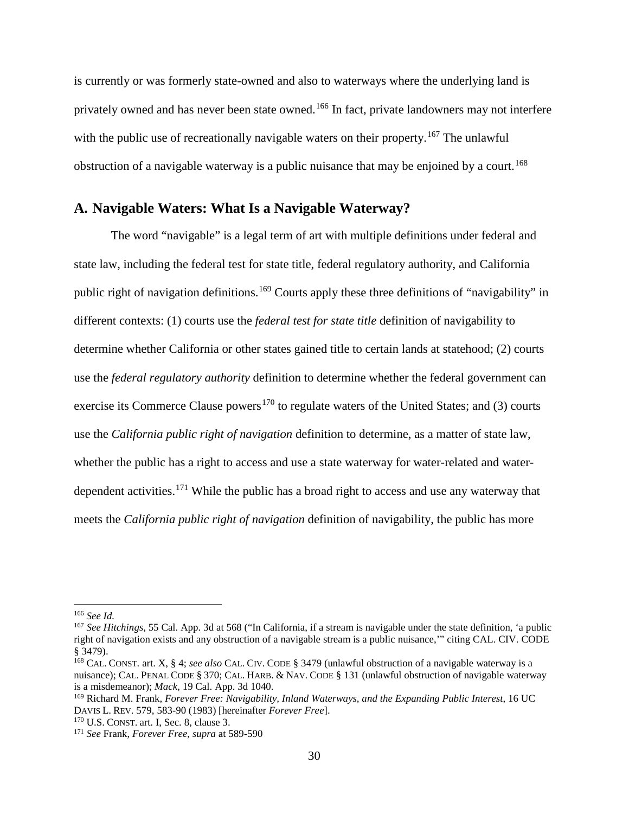is currently or was formerly state-owned and also to waterways where the underlying land is privately owned and has never been state owned. [166](#page-29-1) In fact, private landowners may not interfere with the public use of recreationally navigable waters on their property.<sup>[167](#page-29-2)</sup> The unlawful obstruction of a navigable waterway is a public nuisance that may be enjoined by a court.<sup>[168](#page-29-3)</sup>

### <span id="page-29-0"></span>**A. Navigable Waters: What Is a Navigable Waterway?**

The word "navigable" is a legal term of art with multiple definitions under federal and state law, including the federal test for state title, federal regulatory authority, and California public right of navigation definitions.[169](#page-29-4) Courts apply these three definitions of "navigability" in different contexts: (1) courts use the *federal test for state title* definition of navigability to determine whether California or other states gained title to certain lands at statehood; (2) courts use the *federal regulatory authority* definition to determine whether the federal government can exercise its Commerce Clause powers<sup>[170](#page-29-5)</sup> to regulate waters of the United States; and (3) courts use the *California public right of navigation* definition to determine, as a matter of state law, whether the public has a right to access and use a state waterway for water-related and water-dependent activities.<sup>[171](#page-29-6)</sup> While the public has a broad right to access and use any waterway that meets the *California public right of navigation* definition of navigability, the public has more

<span id="page-29-1"></span> <sup>166</sup> *See Id.*

<span id="page-29-2"></span><sup>167</sup> *See Hitchings*, 55 Cal. App. 3d at 568 ("In California, if a stream is navigable under the state definition, 'a public right of navigation exists and any obstruction of a navigable stream is a public nuisance,'" citing CAL. CIV. CODE § 3479).

<span id="page-29-3"></span><sup>168</sup> CAL. CONST. art. X, § 4; *see also* CAL. CIV. CODE § 3479 (unlawful obstruction of a navigable waterway is a nuisance); CAL. PENAL CODE § 370; CAL. HARB. & NAV. CODE § 131 (unlawful obstruction of navigable waterway is a misdemeanor); *Mack*, 19 Cal. App. 3d 1040.

<span id="page-29-4"></span><sup>169</sup> Richard M. Frank, *Forever Free: Navigability, Inland Waterways, and the Expanding Public Interest*, 16 UC DAVIS L. REV. 579, 583-90 (1983) [hereinafter *Forever Free*]. 170 U.S. CONST. art. I, Sec. 8, clause 3.

<span id="page-29-6"></span><span id="page-29-5"></span><sup>171</sup> *See* Frank, *Forever Free*, *supra* at 589-590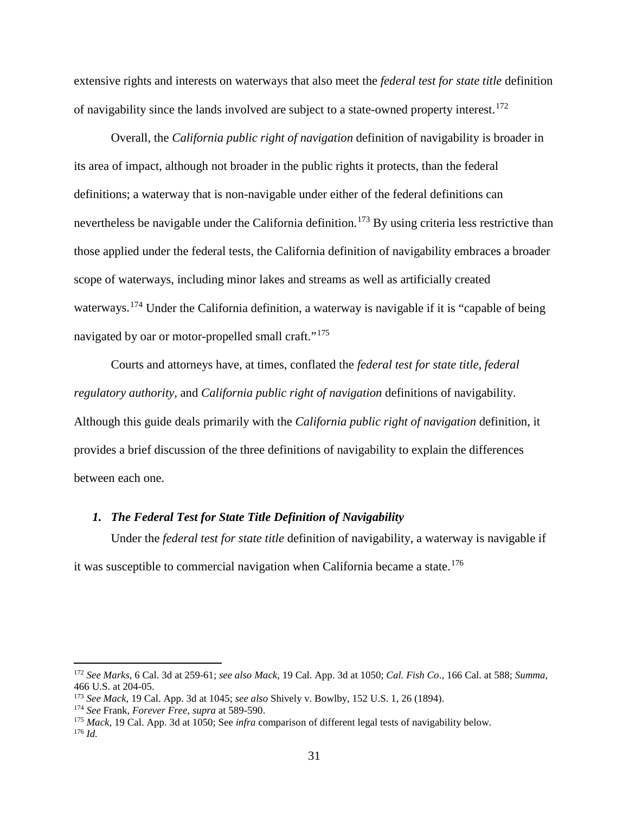extensive rights and interests on waterways that also meet the *federal test for state title* definition of navigability since the lands involved are subject to a state-owned property interest.<sup>[172](#page-30-1)</sup>

Overall, the *California public right of navigation* definition of navigability is broader in its area of impact, although not broader in the public rights it protects, than the federal definitions; a waterway that is non-navigable under either of the federal definitions can nevertheless be navigable under the California definition.<sup>[173](#page-30-2)</sup> By using criteria less restrictive than those applied under the federal tests, the California definition of navigability embraces a broader scope of waterways, including minor lakes and streams as well as artificially created waterways.<sup>[174](#page-30-3)</sup> Under the California definition, a waterway is navigable if it is "capable of being navigated by oar or motor-propelled small craft."<sup>[175](#page-30-4)</sup>

Courts and attorneys have, at times, conflated the *federal test for state title*, *federal regulatory authority,* and *California public right of navigation* definitions of navigability. Although this guide deals primarily with the *California public right of navigation* definition, it provides a brief discussion of the three definitions of navigability to explain the differences between each one.

### <span id="page-30-0"></span>*1. The Federal Test for State Title Definition of Navigability*

Under the *federal test for state title* definition of navigability, a waterway is navigable if it was susceptible to commercial navigation when California became a state. [176](#page-30-5)

<span id="page-30-1"></span> <sup>172</sup> *See Marks*, 6 Cal. 3d at 259-61; *see also Mack*, 19 Cal. App. 3d at 1050; *Cal. Fish Co*., 166 Cal. at 588; *Summa,* 466 U.S. at 204-05.

<span id="page-30-2"></span><sup>173</sup> *See Mack,* 19 Cal. App. 3d at 1045; *see also* Shively v. Bowlby, 152 U.S. 1, 26 (1894).

<span id="page-30-3"></span><sup>174</sup> *See* Frank, *Forever Free*, *supra* at 589-590.

<span id="page-30-5"></span><span id="page-30-4"></span><sup>175</sup> *Mack*, 19 Cal. App. 3d at 1050; See *infra* comparison of different legal tests of navigability below. 176 *Id.*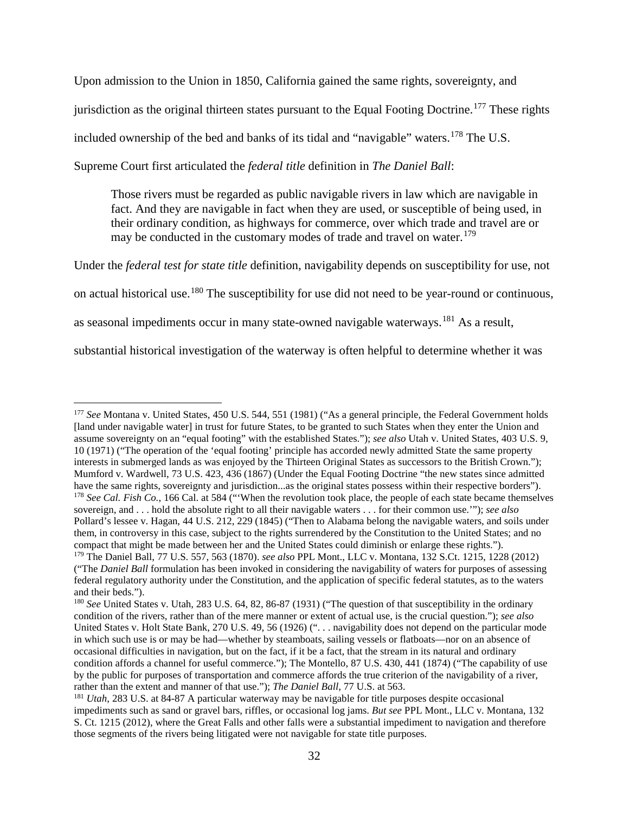Upon admission to the Union in 1850, California gained the same rights, sovereignty, and

jurisdiction as the original thirteen states pursuant to the Equal Footing Doctrine.<sup>[177](#page-31-0)</sup> These rights

included ownership of the bed and banks of its tidal and "navigable" waters.<sup>[178](#page-31-1)</sup> The U.S.

Supreme Court first articulated the *federal title* definition in *The Daniel Ball*:

Those rivers must be regarded as public navigable rivers in law which are navigable in fact. And they are navigable in fact when they are used, or susceptible of being used, in their ordinary condition, as highways for commerce, over which trade and travel are or may be conducted in the customary modes of trade and travel on water.<sup>[179](#page-31-2)</sup>

Under the *federal test for state title* definition, navigability depends on susceptibility for use, not on actual historical use.[180](#page-31-3) The susceptibility for use did not need to be year-round or continuous, as seasonal impediments occur in many state-owned navigable waterways.<sup>[181](#page-31-4)</sup> As a result,

substantial historical investigation of the waterway is often helpful to determine whether it was

<span id="page-31-0"></span><sup>&</sup>lt;sup>177</sup> See Montana v. United States, 450 U.S. 544, 551 (1981) ("As a general principle, the Federal Government holds [land under navigable water] in trust for future States, to be granted to such States when they enter the Union and assume sovereignty on an "equal footing" with the established States."); *see also* Utah v. United States, 403 U.S. 9, 10 (1971) ("The operation of the 'equal footing' principle has accorded newly admitted State the same property interests in submerged lands as was enjoyed by the Thirteen Original States as successors to the British Crown."); Mumford v. Wardwell, 73 U.S. 423, 436 (1867) (Under the Equal Footing Doctrine "the new states since admitted have the same rights, sovereignty and jurisdiction...as the original states possess within their respective borders"). <sup>178</sup> *See Cal. Fish Co.*, 166 Cal. at 584 ("When the revolution took place, the people of each state became themselves sovereign, and . . . hold the absolute right to all their navigable waters . . . for their common use.'"); *see also* Pollard's lessee v. Hagan, 44 U.S. 212, 229 (1845) ("Then to Alabama belong the navigable waters, and soils under them, in controversy in this case, subject to the rights surrendered by the Constitution to the United States; and no compact that might be made between her and the United States could diminish or enlarge these rights."). <sup>179</sup> The Daniel Ball, 77 U.S. 557, 563 (1870). *see also* PPL Mont., LLC v. Montana, 132 S.Ct. 1215, 1228 (2012) ("The *Daniel Ball* formulation has been invoked in considering the navigability of waters for purposes of assessing

<span id="page-31-2"></span><span id="page-31-1"></span>federal regulatory authority under the Constitution, and the application of specific federal statutes, as to the waters and their beds.").

<span id="page-31-3"></span><sup>180</sup> *See* United States v. Utah, 283 U.S. 64, 82, 86-87 (1931) ("The question of that susceptibility in the ordinary condition of the rivers, rather than of the mere manner or extent of actual use, is the crucial question."); *see also* United States v. Holt State Bank, 270 U.S. 49, 56 (1926) (". . . navigability does not depend on the particular mode in which such use is or may be had—whether by steamboats, sailing vessels or flatboats—nor on an absence of occasional difficulties in navigation, but on the fact, if it be a fact, that the stream in its natural and ordinary condition affords a channel for useful commerce."); The Montello, 87 U.S. 430, 441 (1874) ("The capability of use by the public for purposes of transportation and commerce affords the true criterion of the navigability of a river, rather than the extent and manner of that use."): *The Daniel Ball*, 77 U.S. at 563.

<span id="page-31-4"></span><sup>&</sup>lt;sup>181</sup> Utah, 283 U.S. at 84-87 A particular waterway may be navigable for title purposes despite occasional impediments such as sand or gravel bars, riffles, or occasional log jams. *But see* PPL Mont., LLC v. Montana, 132 S. Ct. 1215 (2012), where the Great Falls and other falls were a substantial impediment to navigation and therefore those segments of the rivers being litigated were not navigable for state title purposes.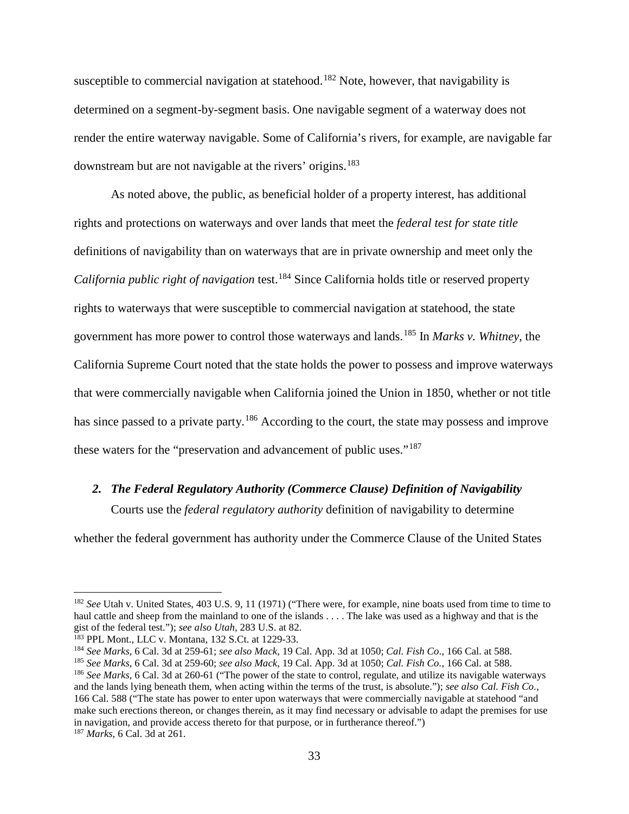susceptible to commercial navigation at statehood.<sup>[182](#page-32-1)</sup> Note, however, that navigability is determined on a segment-by-segment basis. One navigable segment of a waterway does not render the entire waterway navigable. Some of California's rivers, for example, are navigable far downstream but are not navigable at the rivers' origins.<sup>[183](#page-32-2)</sup>

As noted above, the public, as beneficial holder of a property interest, has additional rights and protections on waterways and over lands that meet the *federal test for state title* definitions of navigability than on waterways that are in private ownership and meet only the *California public right of navigation* test.<sup>[184](#page-32-3)</sup> Since California holds title or reserved property rights to waterways that were susceptible to commercial navigation at statehood, the state government has more power to control those waterways and lands. [185](#page-32-4) In *Marks v. Whitney*, the California Supreme Court noted that the state holds the power to possess and improve waterways that were commercially navigable when California joined the Union in 1850, whether or not title has since passed to a private party.<sup>[186](#page-32-5)</sup> According to the court, the state may possess and improve these waters for the "preservation and advancement of public uses."<sup>[187](#page-32-6)</sup>

#### <span id="page-32-0"></span>*2. The Federal Regulatory Authority (Commerce Clause) Definition of Navigability*

Courts use the *federal regulatory authority* definition of navigability to determine

whether the federal government has authority under the Commerce Clause of the United States

<span id="page-32-1"></span> <sup>182</sup> *See* Utah v. United States, 403 U.S. 9, 11 (1971) ("There were, for example, nine boats used from time to time to haul cattle and sheep from the mainland to one of the islands . . . . The lake was used as a highway and that is the gist of the federal test."); *see also Utah*, 283 U.S. at 82.

<span id="page-32-2"></span><sup>&</sup>lt;sup>183</sup> PPL Mont., LLC v. Montana, 132 S.Ct. at 1229-33.

<span id="page-32-3"></span><sup>184</sup> *See Marks*, 6 Cal. 3d at 259-61; *see also Mack*, 19 Cal. App. 3d at 1050; *Cal. Fish Co*., 166 Cal. at 588.

<span id="page-32-4"></span><sup>185</sup> *See Marks*, 6 Cal. 3d at 259-60; *see also Mack*, 19 Cal. App. 3d at 1050; *Cal. Fish Co.*, 166 Cal. at 588.

<span id="page-32-6"></span><span id="page-32-5"></span><sup>186</sup> *See Marks*, 6 Cal. 3d at 260-61 ("The power of the state to control, regulate, and utilize its navigable waterways and the lands lying beneath them, when acting within the terms of the trust, is absolute."); *see also Cal. Fish Co.*, 166 Cal. 588 ("The state has power to enter upon waterways that were commercially navigable at statehood "and make such erections thereon, or changes therein, as it may find necessary or advisable to adapt the premises for use in navigation, and provide access thereto for that purpose, or in furtherance thereof.") <sup>187</sup> *Marks*, 6 Cal. 3d at 261.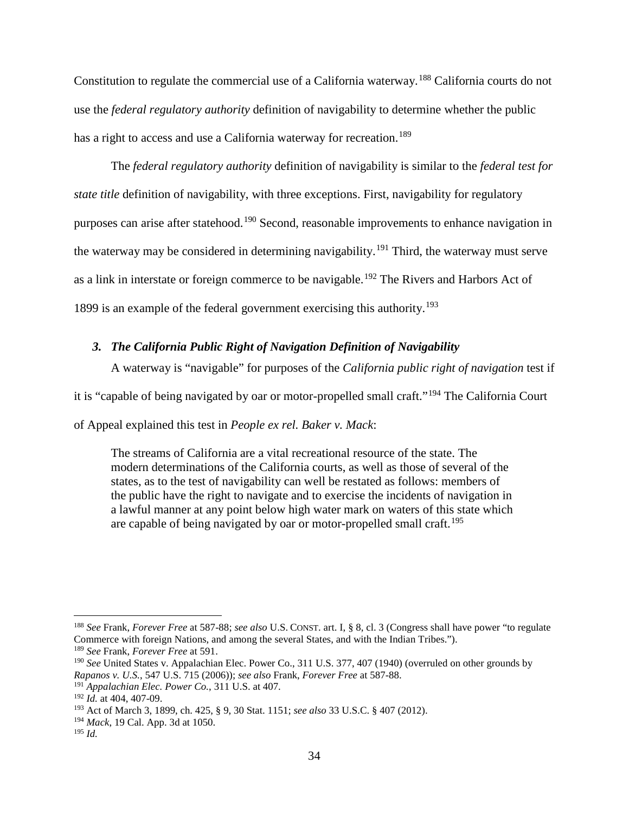Constitution to regulate the commercial use of a California waterway.[188](#page-33-1) California courts do not use the *federal regulatory authority* definition of navigability to determine whether the public has a right to access and use a California waterway for recreation.<sup>189</sup>

The *federal regulatory authority* definition of navigability is similar to the *federal test for state title* definition of navigability, with three exceptions. First, navigability for regulatory purposes can arise after statehood.<sup>[190](#page-33-3)</sup> Second, reasonable improvements to enhance navigation in the waterway may be considered in determining navigability.<sup>[191](#page-33-4)</sup> Third, the waterway must serve as a link in interstate or foreign commerce to be navigable.<sup>[192](#page-33-5)</sup> The Rivers and Harbors Act of 1899 is an example of the federal government exercising this authority.[193](#page-33-6)

### <span id="page-33-0"></span>*3. The California Public Right of Navigation Definition of Navigability*

A waterway is "navigable" for purposes of the *California public right of navigation* test if

it is "capable of being navigated by oar or motor-propelled small craft."[194](#page-33-7) The California Court

of Appeal explained this test in *People ex rel. Baker v. Mack*:

The streams of California are a vital recreational resource of the state. The modern determinations of the California courts, as well as those of several of the states, as to the test of navigability can well be restated as follows: members of the public have the right to navigate and to exercise the incidents of navigation in a lawful manner at any point below high water mark on waters of this state which are capable of being navigated by oar or motor-propelled small craft.<sup>[195](#page-33-8)</sup>

<span id="page-33-1"></span> <sup>188</sup> *See* Frank, *Forever Free* at 587-88; *see also* U.S. CONST. art. I, § 8, cl. 3 (Congress shall have power "to regulate Commerce with foreign Nations, and among the several States, and with the Indian Tribes.").

<span id="page-33-2"></span><sup>189</sup> *See* Frank, *Forever Free* at 591.

<span id="page-33-3"></span><sup>190</sup> *See* United States v. Appalachian Elec. Power Co., 311 U.S. 377, 407 (1940) (overruled on other grounds by *Rapanos v. U.S.*, 547 U.S. 715 (2006)); *see also* Frank, *Forever Free* at 587-88.

<span id="page-33-4"></span><sup>191</sup> *Appalachian Elec. Power Co.*, 311 U.S. at 407.

<span id="page-33-5"></span><sup>192</sup> *Id.* at 404, 407-09.

<span id="page-33-6"></span><sup>193</sup> Act of March 3, 1899, ch. 425, § 9, 30 Stat. 1151; *see also* 33 U.S.C. § [407](http://www.law.cornell.edu/uscode/33/407.html) (2012).

<span id="page-33-7"></span><sup>194</sup> *Mack*, 19 Cal. App. 3d at 1050.

<span id="page-33-8"></span><sup>195</sup> *Id.*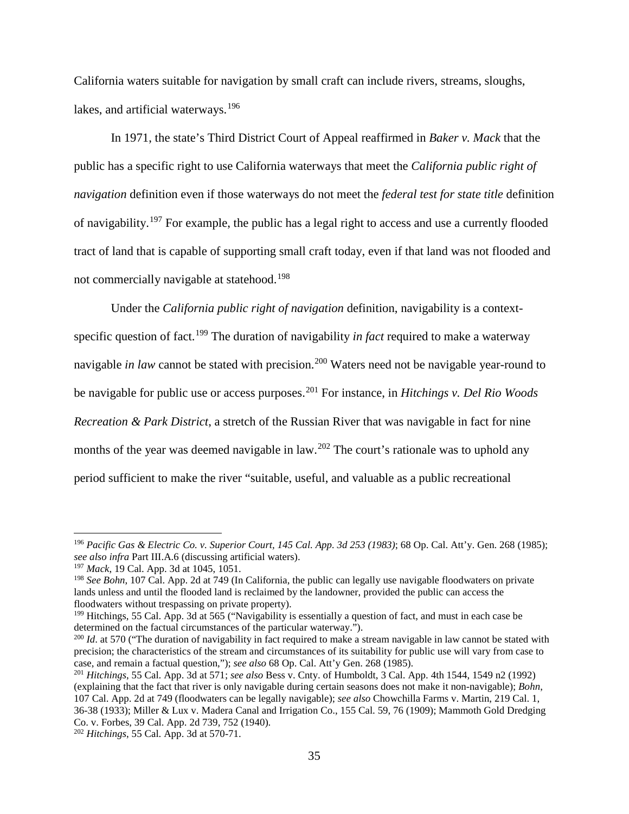California waters suitable for navigation by small craft can include rivers, streams, sloughs, lakes, and artificial waterways.<sup>[196](#page-34-0)</sup>

In 1971, the state's Third District Court of Appeal reaffirmed in *Baker v. Mack* that the public has a specific right to use California waterways that meet the *California public right of navigation* definition even if those waterways do not meet the *federal test for state title* definition of navigability.<sup>[197](#page-34-1)</sup> For example, the public has a legal right to access and use a currently flooded tract of land that is capable of supporting small craft today, even if that land was not flooded and not commercially navigable at statehood. [198](#page-34-2)

Under the *California public right of navigation* definition, navigability is a contextspecific question of fact.[199](#page-34-3) The duration of navigability *in fact* required to make a waterway navigable *in law* cannot be stated with precision.<sup>[200](#page-34-4)</sup> Waters need not be navigable year-round to be navigable for public use or access purposes.[201](#page-34-5) For instance, in *Hitchings v. Del Rio Woods Recreation & Park District*, a stretch of the Russian River that was navigable in fact for nine months of the year was deemed navigable in law.<sup>[202](#page-34-6)</sup> The court's rationale was to uphold any period sufficient to make the river "suitable, useful, and valuable as a public recreational

<span id="page-34-0"></span> <sup>196</sup> *Pacific Gas & Electric Co. v. Superior Court, 145 Cal. App. 3d 253 (1983)*; 68 Op. Cal. Att'y. Gen. 268 (1985); *see also infra* Part III.A.6 (discussing artificial waters).

<span id="page-34-1"></span><sup>197</sup> *Mack*, 19 Cal. App. 3d at 1045, 1051.

<span id="page-34-2"></span><sup>198</sup> *See Bohn*, 107 Cal. App. 2d at 749 (In California, the public can legally use navigable floodwaters on private lands unless and until the flooded land is reclaimed by the landowner, provided the public can access the floodwaters without trespassing on private property).

<span id="page-34-3"></span><sup>&</sup>lt;sup>199</sup> Hitchings, 55 Cal. App. 3d at 565 ("Navigability is essentially a question of fact, and must in each case be determined on the factual circumstances of the particular waterway.").

<span id="page-34-4"></span><sup>&</sup>lt;sup>200</sup> *Id.* at 570 ("The duration of navigability in fact required to make a stream navigable in law cannot be stated with precision; the characteristics of the stream and circumstances of its suitability for public use will vary from case to case, and remain a factual question,"); see also 68 Op. Cal. Att'y Gen. 268 (1985).

<span id="page-34-5"></span><sup>&</sup>lt;sup>201</sup> Hitchings, 55 Cal. App. 3d at 571; *see also* Bess v. Cnty. of Humboldt, 3 Cal. App. 4th 1544, 1549 n2 (1992) (explaining that the fact that river is only navigable during certain seasons does not make it non-navigable); *Bohn*, 107 Cal. App. 2d at 749 (floodwaters can be legally navigable); *see also* Chowchilla Farms v. Martin, 219 Cal. 1, 36-38 (1933); Miller & Lux v. Madera Canal and Irrigation Co., 155 Cal. 59, 76 (1909); Mammoth Gold Dredging Co. v. Forbes, 39 Cal. App. 2d 739, 752 (1940).

<span id="page-34-6"></span><sup>202</sup> *Hitchings*, 55 Cal. App. 3d at 570-71.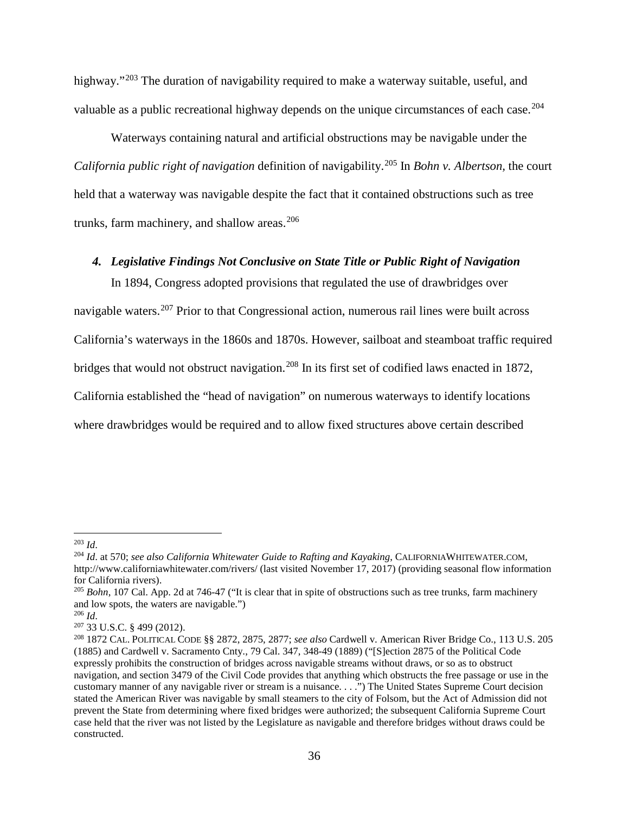highway."<sup>[203](#page-35-1)</sup> The duration of navigability required to make a waterway suitable, useful, and valuable as a public recreational highway depends on the unique circumstances of each case.<sup>204</sup>

Waterways containing natural and artificial obstructions may be navigable under the *California public right of navigation* definition of navigability.[205](#page-35-3) In *Bohn v. Albertson,* the court held that a waterway was navigable despite the fact that it contained obstructions such as tree trunks, farm machinery, and shallow areas.<sup>[206](#page-35-4)</sup>

#### <span id="page-35-0"></span>*4. Legislative Findings Not Conclusive on State Title or Public Right of Navigation*

In 1894, Congress adopted provisions that regulated the use of drawbridges over navigable waters.<sup>[207](#page-35-5)</sup> Prior to that Congressional action, numerous rail lines were built across California's waterways in the 1860s and 1870s. However, sailboat and steamboat traffic required bridges that would not obstruct navigation.<sup>[208](#page-35-6)</sup> In its first set of codified laws enacted in 1872, California established the "head of navigation" on numerous waterways to identify locations where drawbridges would be required and to allow fixed structures above certain described

<span id="page-35-1"></span> <sup>203</sup> *Id*.

<span id="page-35-2"></span><sup>204</sup> *Id*. at 570; *see also California Whitewater Guide to Rafting and Kayaking*, CALIFORNIAWHITEWATER.COM, <http://www.californiawhitewater.com/rivers/> (last visited November 17, 2017) (providing seasonal flow information for California rivers).

<span id="page-35-3"></span><sup>205</sup> *Bohn*, 107 Cal. App. 2d at 746-47 ("It is clear that in spite of obstructions such as tree trunks, farm machinery and low spots, the waters are navigable.")

<span id="page-35-4"></span><sup>206</sup> *Id*.

<span id="page-35-5"></span><sup>207</sup> 33 U.S.C. § 499 (2012).

<span id="page-35-6"></span><sup>208</sup> 1872 CAL. POLITICAL CODE §§ 2872, 2875, 2877; *see also* Cardwell v. American River Bridge Co., 113 U.S. 205 (1885) and Cardwell v. Sacramento Cnty., 79 Cal. 347, 348-49 (1889) ("[S]ection 2875 of the Political Code expressly prohibits the construction of bridges across navigable streams without draws, or so as to obstruct navigation, and section 3479 of the Civil Code provides that anything which obstructs the free passage or use in the customary manner of any navigable river or stream is a nuisance. . . .") The United States Supreme Court decision stated the American River was navigable by small steamers to the city of Folsom, but the Act of Admission did not prevent the State from determining where fixed bridges were authorized; the subsequent California Supreme Court case held that the river was not listed by the Legislature as navigable and therefore bridges without draws could be constructed.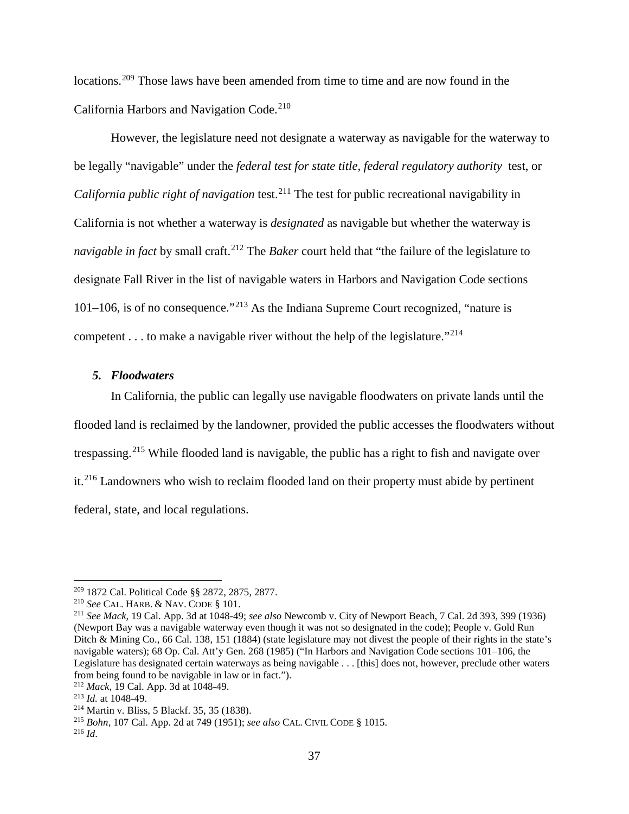locations.[209](#page-36-1) Those laws have been amended from time to time and are now found in the California Harbors and Navigation Code.<sup>[210](#page-36-2)</sup>

However, the legislature need not designate a waterway as navigable for the waterway to be legally "navigable" under the *federal test for state title*, *federal regulatory authority* test, or *California public right of navigation* test.<sup>[211](#page-36-3)</sup> The test for public recreational navigability in California is not whether a waterway is *designated* as navigable but whether the waterway is *navigable in fact by small craft.*<sup>[212](#page-36-4)</sup> The *Baker* court held that "the failure of the legislature to designate Fall River in the list of navigable waters in Harbors and Navigation Code sections 101–106, is of no consequence."<sup>[213](#page-36-5)</sup> As the Indiana Supreme Court recognized, "nature is competent  $\dots$  to make a navigable river without the help of the legislature."<sup>214</sup>

#### <span id="page-36-0"></span>*5. Floodwaters*

In California, the public can legally use navigable floodwaters on private lands until the flooded land is reclaimed by the landowner, provided the public accesses the floodwaters without trespassing.<sup>[215](#page-36-7)</sup> While flooded land is navigable, the public has a right to fish and navigate over it.<sup>[216](#page-36-8)</sup> Landowners who wish to reclaim flooded land on their property must abide by pertinent federal, state, and local regulations.

<span id="page-36-1"></span><sup>&</sup>lt;sup>209</sup> 1872 Cal. Political Code §§ 2872, 2875, 2877.<br><sup>210</sup> See CAL. HARB. & NAV. CODE § 101.

<span id="page-36-3"></span><span id="page-36-2"></span><sup>&</sup>lt;sup>211</sup> *See Mack*, 19 Cal. App. 3d at 1048-49; *see also* Newcomb v. City of Newport Beach, 7 Cal. 2d 393, 399 (1936) (Newport Bay was a navigable waterway even though it was not so designated in the code); People v. Gold Run Ditch & Mining Co., 66 Cal. 138, 151 (1884) (state legislature may not divest the people of their rights in the state's navigable waters); 68 Op. Cal. Att'y Gen. 268 (1985) ("In Harbors and Navigation Code sections 101–106, the Legislature has designated certain waterways as being navigable . . . [this] does not, however, preclude other waters from being found to be navigable in law or in fact.").<br> $\frac{212}{4} \text{Mack}$ , 19 Cal. App. 3d at 1048-49.

<span id="page-36-5"></span><span id="page-36-4"></span><sup>&</sup>lt;sup>213</sup> *Id.* at 1048-49. <sup>214</sup> Martin v. Bliss, 5 Blackf. 35, 35 (1838).

<span id="page-36-7"></span><span id="page-36-6"></span><sup>215</sup> *Bohn*, 107 Cal. App. 2d at 749 (1951); *see also* CAL. CIVIL CODE § 1015.

<span id="page-36-8"></span><sup>216</sup> *Id*.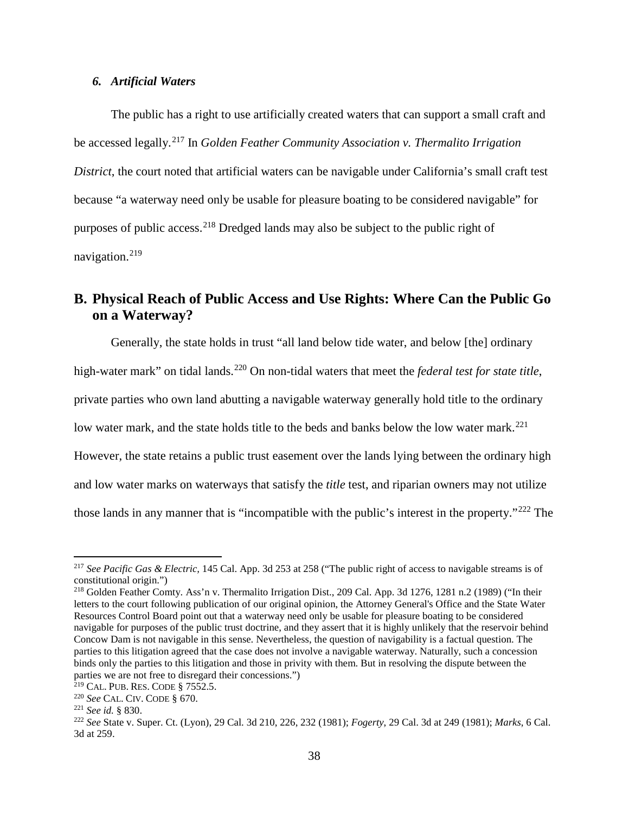#### <span id="page-37-0"></span>*6. Artificial Waters*

The public has a right to use artificially created waters that can support a small craft and be accessed legally. [217](#page-37-2) In *Golden Feather Community Association v. Thermalito Irrigation District*, the court noted that artificial waters can be navigable under California's small craft test because "a waterway need only be usable for pleasure boating to be considered navigable" for purposes of public access.[218](#page-37-3) Dredged lands may also be subject to the public right of navigation.[219](#page-37-4)

# <span id="page-37-1"></span>**B. Physical Reach of Public Access and Use Rights: Where Can the Public Go on a Waterway?**

Generally, the state holds in trust "all land below tide water, and below [the] ordinary

high-water mark" on tidal lands.[220](#page-37-5) On non-tidal waters that meet the *federal test for state title*,

private parties who own land abutting a navigable waterway generally hold title to the ordinary

low water mark, and the state holds title to the beds and banks below the low water mark.<sup>[221](#page-37-6)</sup>

However, the state retains a public trust easement over the lands lying between the ordinary high

and low water marks on waterways that satisfy the *title* test, and riparian owners may not utilize

those lands in any manner that is "incompatible with the public's interest in the property."[222](#page-37-7) The

<span id="page-37-2"></span> <sup>217</sup> *See Pacific Gas & Electric,* 145 Cal. App. 3d 253 at 258 ("The public right of access to navigable streams is of constitutional origin.")

<span id="page-37-3"></span><sup>218</sup> Golden Feather Comty. Ass'n v. Thermalito Irrigation Dist., 209 Cal. App. 3d 1276, 1281 n.2 (1989) ("In their letters to the court following publication of our original opinion, the Attorney General's Office and the State Water Resources Control Board point out that a waterway need only be usable for pleasure boating to be considered navigable for purposes of the public trust doctrine, and they assert that it is highly unlikely that the reservoir behind Concow Dam is not navigable in this sense. Nevertheless, the question of navigability is a factual question. The parties to this litigation agreed that the case does not involve a navigable waterway. Naturally, such a concession binds only the parties to this litigation and those in privity with them. But in resolving the dispute between the parties we are not free to disregard their concessions.")

<span id="page-37-4"></span><sup>219</sup> CAL. PUB. RES. CODE § 7552.5.

<span id="page-37-5"></span><sup>220</sup> *See* CAL. CIV. CODE § 670.

<span id="page-37-6"></span><sup>221</sup> *See id.* § 830.

<span id="page-37-7"></span><sup>222</sup> *See* State v. Super. Ct. (Lyon), 29 Cal. 3d 210, 226, 232 (1981); *Fogerty*, 29 Cal. 3d at 249 (1981); *Marks*, 6 Cal. 3d at 259.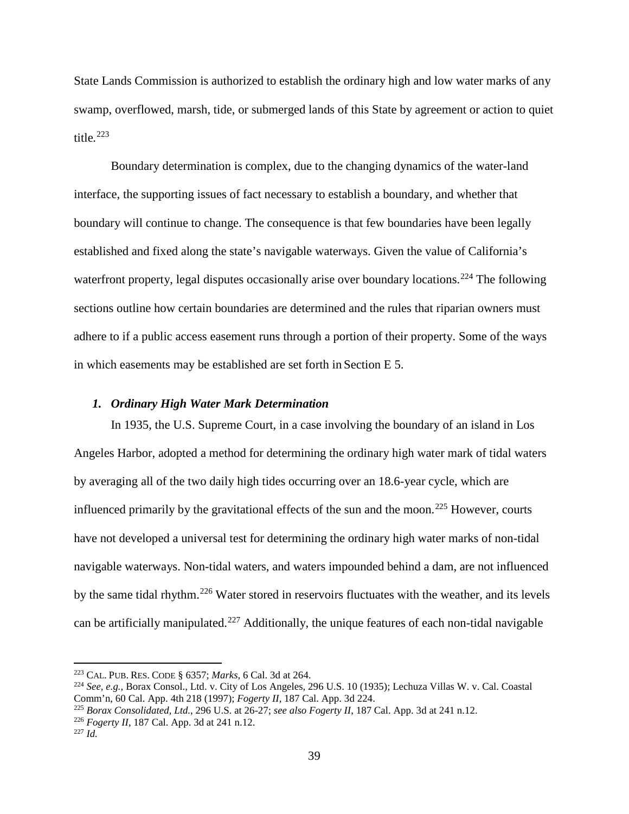State Lands Commission is authorized to establish the ordinary high and low water marks of any swamp, overflowed, marsh, tide, or submerged lands of this State by agreement or action to quiet title*.* [223](#page-38-1)

Boundary determination is complex, due to the changing dynamics of the water-land interface, the supporting issues of fact necessary to establish a boundary, and whether that boundary will continue to change. The consequence is that few boundaries have been legally established and fixed along the state's navigable waterways. Given the value of California's waterfront property, legal disputes occasionally arise over boundary locations.<sup>[224](#page-38-2)</sup> The following sections outline how certain boundaries are determined and the rules that riparian owners must adhere to if a public access easement runs through a portion of their property. Some of the ways in which easements may be established are set forth in Section E 5.

#### <span id="page-38-0"></span>*1. Ordinary High Water Mark Determination*

In 1935, the U.S. Supreme Court, in a case involving the boundary of an island in Los Angeles Harbor, adopted a method for determining the ordinary high water mark of tidal waters by averaging all of the two daily high tides occurring over an 18.6-year cycle, which are influenced primarily by the gravitational effects of the sun and the moon.<sup>[225](#page-38-3)</sup> However, courts have not developed a universal test for determining the ordinary high water marks of non-tidal navigable waterways. Non-tidal waters, and waters impounded behind a dam, are not influenced by the same tidal rhythm.<sup>[226](#page-38-4)</sup> Water stored in reservoirs fluctuates with the weather, and its levels can be artificially manipulated.<sup>[227](#page-38-5)</sup> Additionally, the unique features of each non-tidal navigable

<span id="page-38-1"></span> <sup>223</sup> CAL. PUB. RES. CODE § 6357; *Marks*, 6 Cal. 3d at 264.

<span id="page-38-2"></span><sup>224</sup> *See, e.g.*, Borax Consol., Ltd. v. City of Los Angeles, 296 U.S. 10 (1935); Lechuza Villas W. v. Cal. Coastal Comm'n, 60 Cal. App. 4th 218 (1997); *Fogerty II*, 187 Cal. App. 3d 224.

<span id="page-38-3"></span><sup>225</sup> *Borax Consolidated, Ltd.*, 296 U.S. at 26-27; *see also Fogerty II*, 187 Cal. App. 3d at 241 n.12.

<span id="page-38-4"></span><sup>226</sup> *Fogerty II*, 187 Cal. App. 3d at 241 n.12.

<span id="page-38-5"></span><sup>227</sup> *Id.*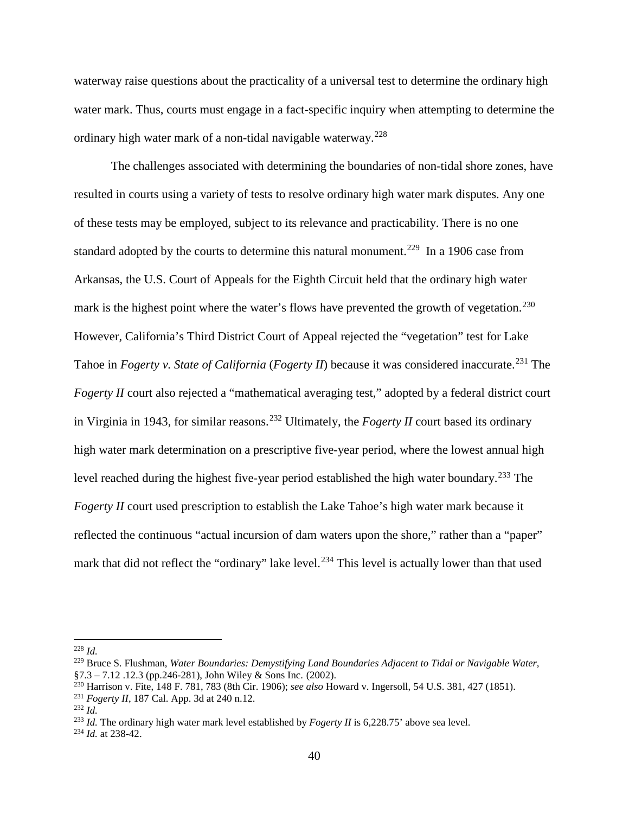waterway raise questions about the practicality of a universal test to determine the ordinary high water mark. Thus, courts must engage in a fact-specific inquiry when attempting to determine the ordinary high water mark of a non-tidal navigable waterway.<sup>[228](#page-39-0)</sup>

The challenges associated with determining the boundaries of non-tidal shore zones, have resulted in courts using a variety of tests to resolve ordinary high water mark disputes. Any one of these tests may be employed, subject to its relevance and practicability. There is no one standard adopted by the courts to determine this natural monument.<sup>[229](#page-39-1)</sup> In a 1906 case from Arkansas, the U.S. Court of Appeals for the Eighth Circuit held that the ordinary high water mark is the highest point where the water's flows have prevented the growth of vegetation.<sup>[230](#page-39-2)</sup> However, California's Third District Court of Appeal rejected the "vegetation" test for Lake Tahoe in *Fogerty v. State of California* (*Fogerty II*) because it was considered inaccurate. [231](#page-39-3) The *Fogerty II* court also rejected a "mathematical averaging test," adopted by a federal district court in Virginia in 1943, for similar reasons. [232](#page-39-4) Ultimately, the *Fogerty II* court based its ordinary high water mark determination on a prescriptive five-year period, where the lowest annual high level reached during the highest five-year period established the high water boundary.<sup>[233](#page-39-5)</sup> The *Fogerty II* court used prescription to establish the Lake Tahoe's high water mark because it reflected the continuous "actual incursion of dam waters upon the shore," rather than a "paper" mark that did not reflect the "ordinary" lake level.<sup>[234](#page-39-6)</sup> This level is actually lower than that used

<span id="page-39-0"></span> <sup>228</sup> *Id.*

<span id="page-39-1"></span><sup>229</sup> Bruce S. Flushman, *Water Boundaries: Demystifying Land Boundaries Adjacent to Tidal or Navigable Water,*   $§7.3 - 7.12$ . 12.3 (pp.246-281), John Wiley & Sons Inc. (2002).

<span id="page-39-2"></span><sup>230</sup> Harrison v. Fite, 148 F. 781, 783 (8th Cir. 1906); *see also* Howard v. Ingersoll, 54 U.S. 381, 427 (1851).

<span id="page-39-3"></span><sup>231</sup> *Fogerty II*, 187 Cal. App. 3d at 240 n.12.

<span id="page-39-4"></span><sup>232</sup> *Id.*

<span id="page-39-5"></span><sup>&</sup>lt;sup>233</sup> *Id.* The ordinary high water mark level established by *Fogerty II* is 6,228.75' above sea level.

<span id="page-39-6"></span><sup>234</sup> *Id.* at 238-42.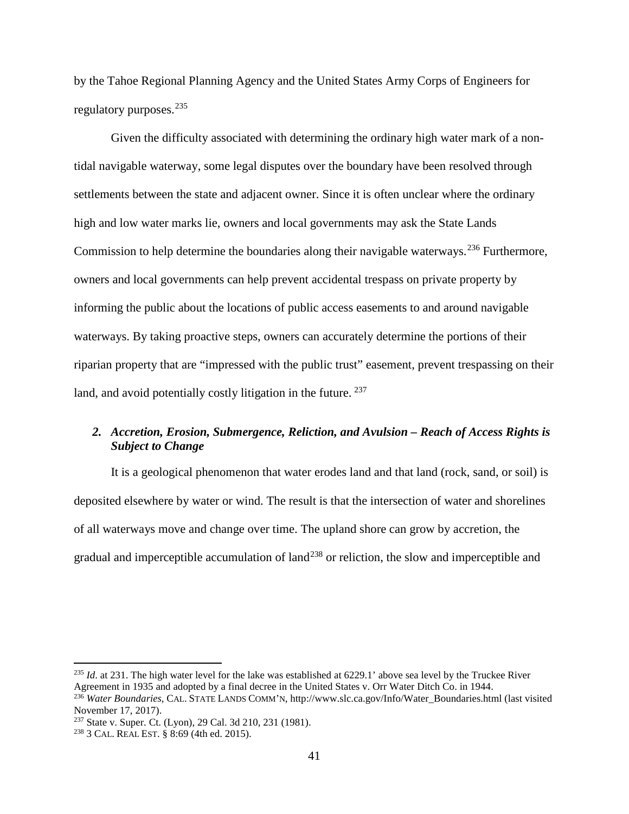by the Tahoe Regional Planning Agency and the United States Army Corps of Engineers for regulatory purposes.<sup>[235](#page-40-1)</sup>

Given the difficulty associated with determining the ordinary high water mark of a nontidal navigable waterway, some legal disputes over the boundary have been resolved through settlements between the state and adjacent owner. Since it is often unclear where the ordinary high and low water marks lie, owners and local governments may ask the State Lands Commission to help determine the boundaries along their navigable waterways.<sup>[236](#page-40-2)</sup> Furthermore, owners and local governments can help prevent accidental trespass on private property by informing the public about the locations of public access easements to and around navigable waterways. By taking proactive steps, owners can accurately determine the portions of their riparian property that are "impressed with the public trust" easement, prevent trespassing on their land, and avoid potentially costly litigation in the future. <sup>[237](#page-40-3)</sup>

### <span id="page-40-0"></span>*2. Accretion, Erosion, Submergence, Reliction, and Avulsion – Reach of Access Rights is Subject to Change*

It is a geological phenomenon that water erodes land and that land (rock, sand, or soil) is deposited elsewhere by water or wind. The result is that the intersection of water and shorelines of all waterways move and change over time. The upland shore can grow by accretion, the gradual and imperceptible accumulation of land<sup>[238](#page-40-4)</sup> or reliction, the slow and imperceptible and

<span id="page-40-1"></span><sup>&</sup>lt;sup>235</sup> *Id.* at 231. The high water level for the lake was established at 6229.1' above sea level by the Truckee River Agreement in 1935 and adopted by a final decree in the United States v. Orr Water Ditch Co. in 1944.

<span id="page-40-2"></span><sup>236</sup> *Water Boundaries*, CAL. STATE LANDS COMM'N, http://www.slc.ca.gov/Info/Water\_Boundaries.html (last visited November 17, 2017).

<span id="page-40-3"></span><sup>237</sup> State v. Super. Ct. (Lyon), 29 Cal. 3d 210, 231 (1981).

<span id="page-40-4"></span><sup>238</sup> 3 CAL. REAL EST. § 8:69 (4th ed. 2015).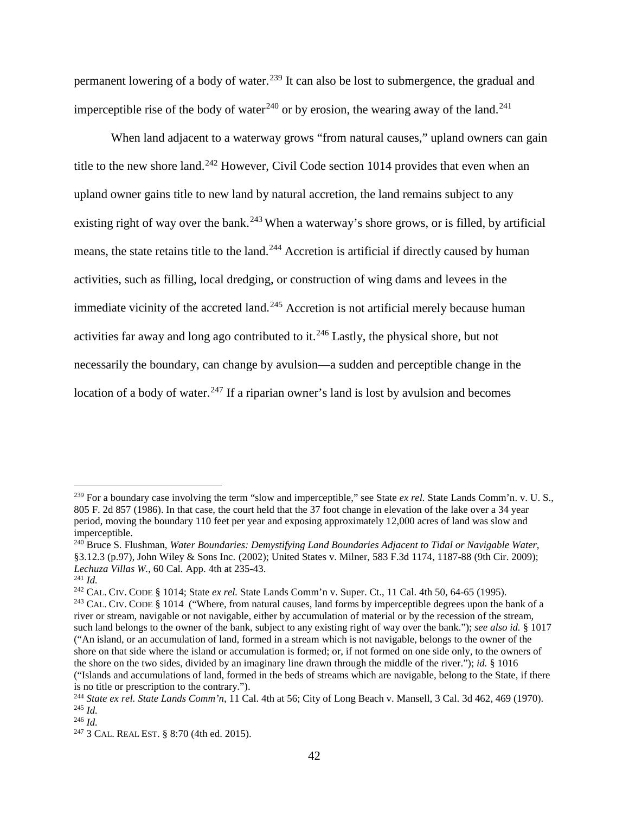permanent lowering of a body of water.<sup>[239](#page-41-0)</sup> It can also be lost to submergence, the gradual and imperceptible rise of the body of water<sup>[240](#page-41-1)</sup> or by erosion, the wearing away of the land.<sup>[241](#page-41-2)</sup>

When land adjacent to a waterway grows "from natural causes," upland owners can gain title to the new shore land.<sup>[242](#page-41-3)</sup> However, Civil Code section 1014 provides that even when an upland owner gains title to new land by natural accretion, the land remains subject to any existing right of way over the bank.<sup>[243](#page-41-4)</sup> When a waterway's shore grows, or is filled, by artificial means, the state retains title to the land.<sup>[244](#page-41-5)</sup> Accretion is artificial if directly caused by human activities, such as filling, local dredging, or construction of wing dams and levees in the immediate vicinity of the accreted land.<sup>[245](#page-41-6)</sup> Accretion is not artificial merely because human activities far away and long ago contributed to it.<sup>[246](#page-41-7)</sup> Lastly, the physical shore, but not necessarily the boundary, can change by avulsion—a sudden and perceptible change in the location of a body of water.<sup>[247](#page-41-8)</sup> If a riparian owner's land is lost by avulsion and becomes

<span id="page-41-0"></span><sup>&</sup>lt;sup>239</sup> For a boundary case involving the term "slow and imperceptible," see State *ex rel*. State Lands Comm'n. v. U. S., 805 F. 2d 857 (1986). In that case, the court held that the 37 foot change in elevation of the lake over a 34 year period, moving the boundary 110 feet per year and exposing approximately 12,000 acres of land was slow and imperceptible.

<span id="page-41-1"></span><sup>240</sup> Bruce S. Flushman, *Water Boundaries: Demystifying Land Boundaries Adjacent to Tidal or Navigable Water,*  §3.12.3 (p.97), John Wiley & Sons Inc. (2002); United States v. Milner, 583 F.3d 1174, 1187-88 (9th Cir. 2009); *Lechuza Villas W.*, 60 Cal. App. 4th at 235-43.

<span id="page-41-2"></span><sup>241</sup> *Id.*

<span id="page-41-3"></span><sup>242</sup> CAL. CIV. CODE § 1014; State *ex rel.* State Lands Comm'n v. Super. Ct., 11 Cal. 4th 50, 64-65 (1995).

<span id="page-41-4"></span><sup>&</sup>lt;sup>243</sup> CAL. CIV. CODE § 1014 ("Where, from natural causes, land forms by imperceptible degrees upon the bank of a river or stream, navigable or not navigable, either by accumulation of material or by the recession of the stream, such land belongs to the owner of the bank, subject to any existing right of way over the bank."); *see also id.* § 1017 ("An island, or an accumulation of land, formed in a stream which is not navigable, belongs to the owner of the shore on that side where the island or accumulation is formed; or, if not formed on one side only, to the owners of the shore on the two sides, divided by an imaginary line drawn through the middle of the river."); *id.* § 1016 ("Islands and accumulations of land, formed in the beds of streams which are navigable, belong to the State, if there is no title or prescription to the contrary.").

<span id="page-41-5"></span><sup>244</sup> *State ex rel. State Lands Comm'n*, 11 Cal. 4th at 56; City of Long Beach v. Mansell, 3 Cal. 3d 462, 469 (1970). <sup>245</sup> *Id.*

<span id="page-41-7"></span><span id="page-41-6"></span><sup>246</sup> *Id.*

<span id="page-41-8"></span><sup>247</sup> 3 CAL. REAL EST. § 8:70 (4th ed. 2015).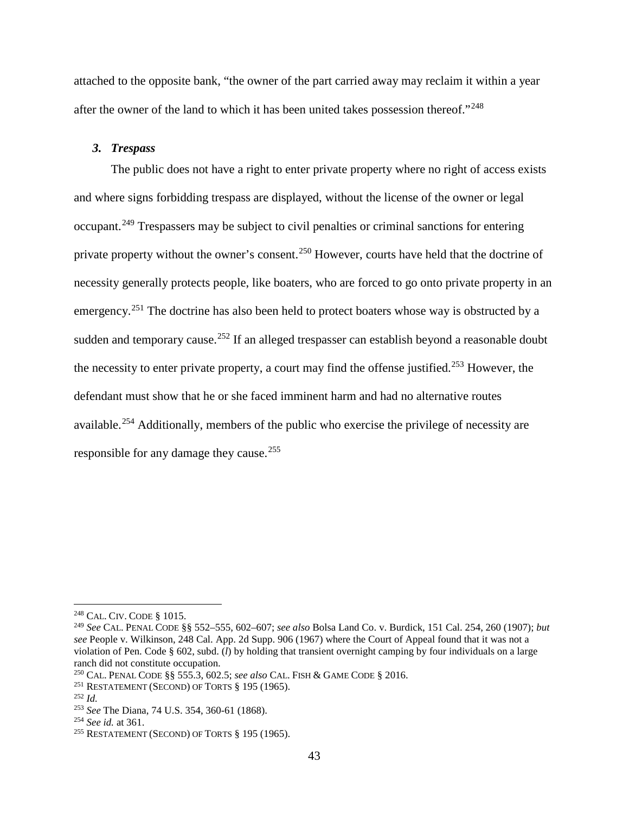attached to the opposite bank, "the owner of the part carried away may reclaim it within a year after the owner of the land to which it has been united takes possession thereof."[248](#page-42-1)

#### <span id="page-42-0"></span>*3. Trespass*

The public does not have a right to enter private property where no right of access exists and where signs forbidding trespass are displayed, without the license of the owner or legal occupant.<sup>[249](#page-42-2)</sup> Trespassers may be subject to civil penalties or criminal sanctions for entering private property without the owner's consent.<sup>[250](#page-42-3)</sup> However, courts have held that the doctrine of necessity generally protects people, like boaters, who are forced to go onto private property in an emergency.<sup>[251](#page-42-4)</sup> The doctrine has also been held to protect boaters whose way is obstructed by a sudden and temporary cause.<sup>[252](#page-42-5)</sup> If an alleged trespasser can establish beyond a reasonable doubt the necessity to enter private property, a court may find the offense justified.<sup>[253](#page-42-6)</sup> However, the defendant must show that he or she faced imminent harm and had no alternative routes available.[254](#page-42-7) Additionally, members of the public who exercise the privilege of necessity are responsible for any damage they cause.<sup>[255](#page-42-8)</sup>

<span id="page-42-1"></span> <sup>248</sup> CAL. CIV. CODE § 1015.

<span id="page-42-2"></span><sup>249</sup> *See* CAL. PENAL CODE §§ 552–555, 602–607; *see also* Bolsa Land Co. v. Burdick, 151 Cal. 254, 260 (1907); *but see* People v. Wilkinson, 248 Cal. App. 2d Supp. 906 (1967) where the Court of Appeal found that it was not a violation of Pen. Code § 602, subd. (*l*) by holding that transient overnight camping by four individuals on a large ranch did not constitute occupation.

<span id="page-42-3"></span><sup>250</sup> CAL. PENAL CODE §§ 555.3, 602.5; *see also* CAL. FISH & GAME CODE § 2016.

<span id="page-42-4"></span><sup>&</sup>lt;sup>251</sup> RESTATEMENT (SECOND) OF TORTS  $§$  195 (1965).

<span id="page-42-5"></span><sup>252</sup> *Id.*

<span id="page-42-6"></span><sup>253</sup> *See* The Diana, 74 U.S. 354, 360-61 (1868).

<span id="page-42-7"></span><sup>254</sup> *See id.* at 361.

<span id="page-42-8"></span><sup>255</sup> RESTATEMENT (SECOND) OF TORTS § 195 (1965).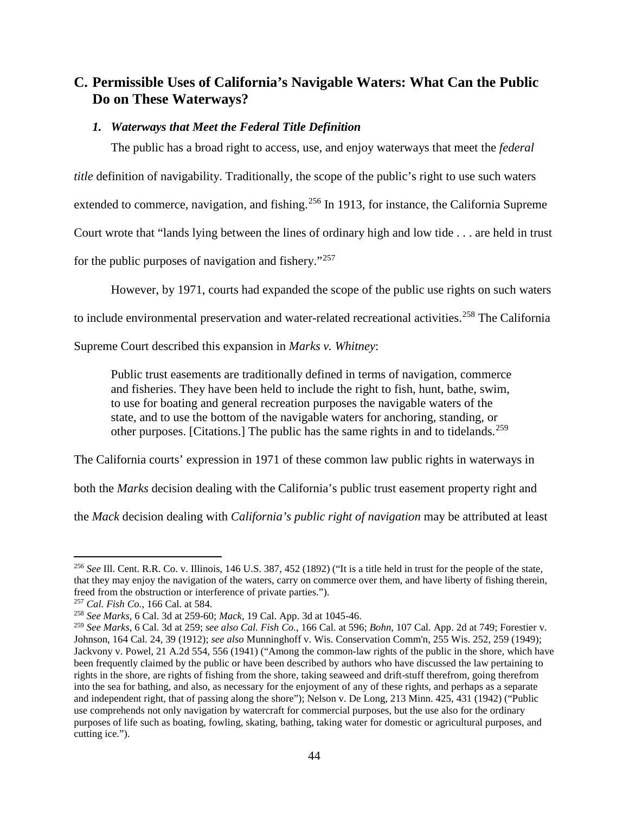# <span id="page-43-0"></span>**C. Permissible Uses of California's Navigable Waters: What Can the Public Do on These Waterways?**

### <span id="page-43-1"></span>*1. Waterways that Meet the Federal Title Definition*

The public has a broad right to access, use, and enjoy waterways that meet the *federal* 

*title* definition of navigability. Traditionally, the scope of the public's right to use such waters

extended to commerce, navigation, and fishing.<sup>[256](#page-43-2)</sup> In 1913, for instance, the California Supreme

Court wrote that "lands lying between the lines of ordinary high and low tide . . . are held in trust

for the public purposes of navigation and fishery."[257](#page-43-3) 

However, by 1971, courts had expanded the scope of the public use rights on such waters

to include environmental preservation and water-related recreational activities.<sup>[258](#page-43-4)</sup> The California

Supreme Court described this expansion in *Marks v. Whitney*:

Public trust easements are traditionally defined in terms of navigation, commerce and fisheries. They have been held to include the right to fish, hunt, bathe, swim, to use for boating and general recreation purposes the navigable waters of the state, and to use the bottom of the navigable waters for anchoring, standing, or other purposes. [Citations.] The public has the same rights in and to tidelands.<sup>[259](#page-43-5)</sup>

The California courts' expression in 1971 of these common law public rights in waterways in

both the *Marks* decision dealing with the California's public trust easement property right and

the *Mack* decision dealing with *California's public right of navigation* may be attributed at least

<span id="page-43-2"></span> <sup>256</sup> *See* Ill. Cent. R.R. Co. v. Illinois, 146 U.S. 387, 452 (1892) ("It is a title held in trust for the people of the state, that they may enjoy the navigation of the waters, carry on commerce over them, and have liberty of fishing therein, freed from the obstruction or interference of private parties.").

<span id="page-43-3"></span><sup>257</sup> *Cal. Fish Co.*, 166 Cal. at 584.

<span id="page-43-5"></span><span id="page-43-4"></span><sup>&</sup>lt;sup>259</sup> See Marks, 6 Cal. 3d at 259; see also Cal. Fish Co., 166 Cal. at 596; Bohn, 107 Cal. App. 2d at 749; Forestier v. Johnson, 164 Cal. 24, 39 (1912); *see also* Munninghoff v. Wis. Conservation Comm'n, 255 Wis. 252, 259 (1949); Jackvony v. Powel, 21 A.2d 554, 556 (1941) ("Among the common-law rights of the public in the shore, which have been frequently claimed by the public or have been described by authors who have discussed the law pertaining to rights in the shore, are rights of fishing from the shore, taking seaweed and drift-stuff therefrom, going therefrom into the sea for bathing, and also, as necessary for the enjoyment of any of these rights, and perhaps as a separate and independent right, that of passing along the shore"); Nelson v. De Long, 213 Minn. 425, 431 (1942) ("Public use comprehends not only navigation by watercraft for commercial purposes, but the use also for the ordinary purposes of life such as boating, fowling, skating, bathing, taking water for domestic or agricultural purposes, and cutting ice.").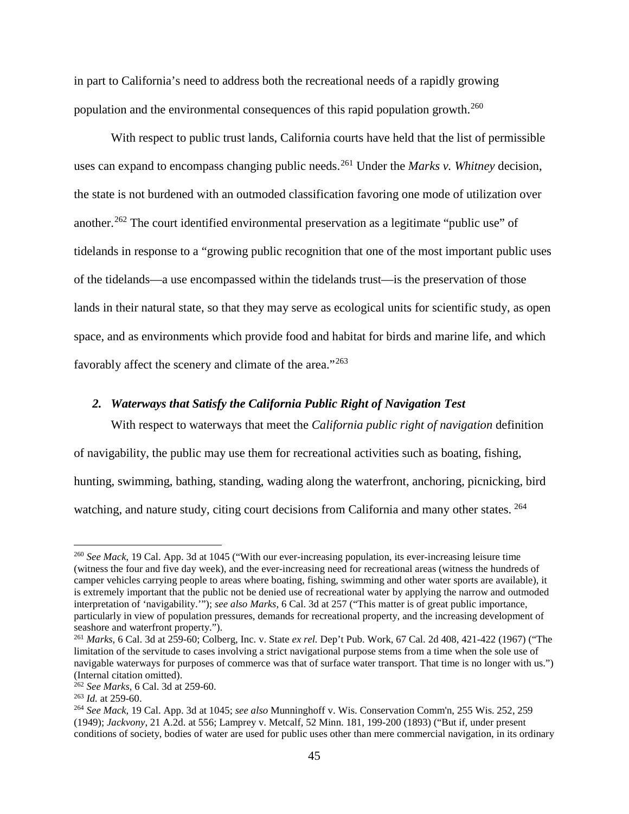in part to California's need to address both the recreational needs of a rapidly growing population and the environmental consequences of this rapid population growth.<sup>260</sup>

With respect to public trust lands, California courts have held that the list of permissible uses can expand to encompass changing public needs.[261](#page-44-2) Under the *Marks v. Whitney* decision, the state is not burdened with an outmoded classification favoring one mode of utilization over another.<sup>[262](#page-44-3)</sup> The court identified environmental preservation as a legitimate "public use" of tidelands in response to a "growing public recognition that one of the most important public uses of the tidelands—a use encompassed within the tidelands trust—is the preservation of those lands in their natural state, so that they may serve as ecological units for scientific study, as open space, and as environments which provide food and habitat for birds and marine life, and which favorably affect the scenery and climate of the area."<sup>[263](#page-44-4)</sup>

#### <span id="page-44-0"></span>*2. Waterways that Satisfy the California Public Right of Navigation Test*

With respect to waterways that meet the *California public right of navigation* definition of navigability, the public may use them for recreational activities such as boating, fishing, hunting, swimming, bathing, standing, wading along the waterfront, anchoring, picnicking, bird watching, and nature study, citing court decisions from California and many other states. <sup>[264](#page-44-5)</sup>

<span id="page-44-1"></span> <sup>260</sup> *See Mack*, 19 Cal. App. 3d at 1045 ("With our ever-increasing population, its ever-increasing leisure time (witness the four and five day week), and the ever-increasing need for recreational areas (witness the hundreds of camper vehicles carrying people to areas where boating, fishing, swimming and other water sports are available), it is extremely important that the public not be denied use of recreational water by applying the narrow and outmoded interpretation of 'navigability.'"); *see also Marks*, 6 Cal. 3d at 257 ("This matter is of great public importance, particularly in view of population pressures, demands for recreational property, and the increasing development of seashore and waterfront property.").

<span id="page-44-2"></span><sup>261</sup> *Marks*, 6 Cal. 3d at 259-60; Colberg, Inc. v. State *ex rel.* Dep't Pub. Work, 67 Cal. 2d 408, 421-422 (1967) ("The limitation of the servitude to cases involving a strict navigational purpose stems from a time when the sole use of navigable waterways for purposes of commerce was that of surface water transport. That time is no longer with us.") (Internal citation omitted).

<span id="page-44-3"></span><sup>262</sup> *See Marks*, 6 Cal. 3d at 259-60.

<span id="page-44-4"></span><sup>263</sup> *Id.* at 259-60.

<span id="page-44-5"></span><sup>264</sup> *See Mack,* 19 Cal. App. 3d at 1045; *see also* Munninghoff v. Wis. Conservation Comm'n, 255 Wis. 252, 259 (1949); *Jackvony*, 21 A.2d. at 556; Lamprey v. Metcalf, 52 Minn. 181, 199-200 (1893) ("But if, under present conditions of society, bodies of water are used for public uses other than mere commercial navigation, in its ordinary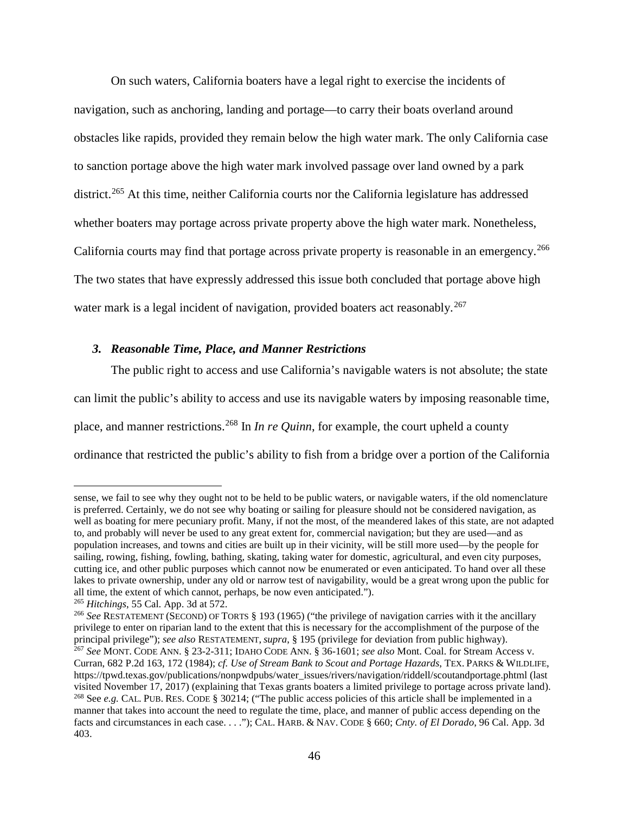On such waters, California boaters have a legal right to exercise the incidents of navigation, such as anchoring, landing and portage—to carry their boats overland around obstacles like rapids, provided they remain below the high water mark. The only California case to sanction portage above the high water mark involved passage over land owned by a park district.<sup>[265](#page-45-1)</sup> At this time, neither California courts nor the California legislature has addressed whether boaters may portage across private property above the high water mark. Nonetheless, California courts may find that portage across private property is reasonable in an emergency.<sup>[266](#page-45-2)</sup> The two states that have expressly addressed this issue both concluded that portage above high water mark is a legal incident of navigation, provided boaters act reasonably.<sup>[267](#page-45-3)</sup>

#### <span id="page-45-0"></span>*3. Reasonable Time, Place, and Manner Restrictions*

The public right to access and use California's navigable waters is not absolute; the state can limit the public's ability to access and use its navigable waters by imposing reasonable time, place, and manner restrictions.[268](#page-45-4) In *In re Quinn*, for example, the court upheld a county ordinance that restricted the public's ability to fish from a bridge over a portion of the California

 $\overline{a}$ 

sense, we fail to see why they ought not to be held to be public waters, or navigable waters, if the old nomenclature is preferred. Certainly, we do not see why boating or sailing for pleasure should not be considered navigation, as well as boating for mere pecuniary profit. Many, if not the most, of the meandered lakes of this state, are not adapted to, and probably will never be used to any great extent for, commercial navigation; but they are used—and as population increases, and towns and cities are built up in their vicinity, will be still more used—by the people for sailing, rowing, fishing, fowling, bathing, skating, taking water for domestic, agricultural, and even city purposes, cutting ice, and other public purposes which cannot now be enumerated or even anticipated. To hand over all these lakes to private ownership, under any old or narrow test of navigability, would be a great wrong upon the public for all time, the extent of which cannot, perhaps, be now even anticipated.").

<span id="page-45-1"></span><sup>265</sup> *Hitchings*, 55 Cal. App. 3d at 572.

<span id="page-45-3"></span><span id="page-45-2"></span><sup>266</sup> *See* RESTATEMENT (SECOND) OF TORTS § 193 (1965) ("the privilege of navigation carries with it the ancillary privilege to enter on riparian land to the extent that this is necessary for the accomplishment of the purpose of the principal privilege"); *see also* RESTATEMENT, *supra*, § 195 (privilege for deviation from public highw  $^{267}$  See MONT. CODE ANN. § 23-2-311; IDAHO CODE ANN. § 36-1601; see also Mont. Coal. for Stream Access v. Curran, 682 P.2d 163, 172 (1984); *cf. Use of Stream Bank to Scout and Portage Hazards*, TEX. PARKS & WILDLIFE, https://tpwd.texas.gov/publications/nonpwdpubs/water\_issues/rivers/navigation/riddell/scoutandportage.phtml (last visited November 17, 2017) (explaining that Texas grants boaters a limited privilege to portage across private land). <sup>268</sup> See *e.g.* CAL. PUB. RES. CODE § 30214; ("The public access policies of this article shall be implemented in a

<span id="page-45-4"></span>manner that takes into account the need to regulate the time, place, and manner of public access depending on the facts and circumstances in each case. . . ."); CAL. HARB. & NAV. CODE § 660; *Cnty. of El Dorado*, 96 Cal. App. 3d 403.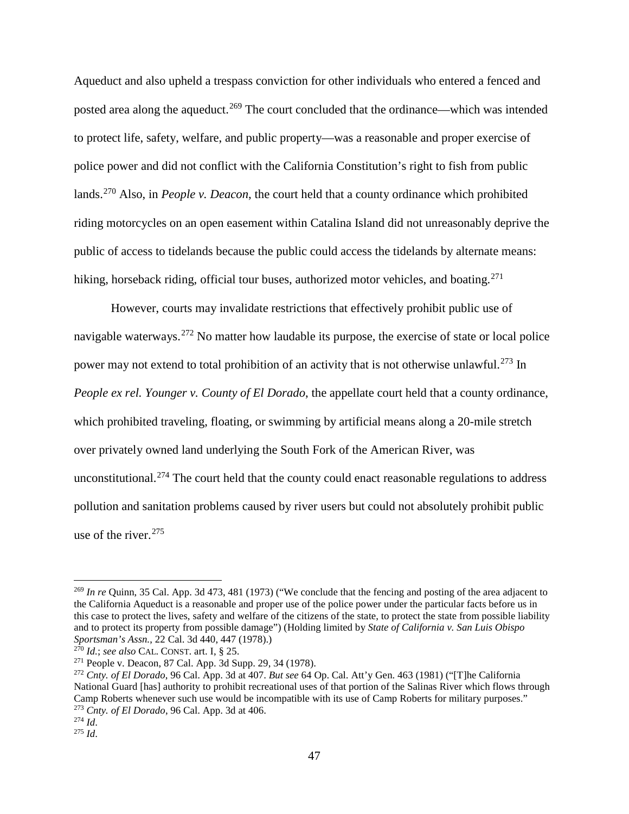Aqueduct and also upheld a trespass conviction for other individuals who entered a fenced and posted area along the aqueduct.<sup>[269](#page-46-0)</sup> The court concluded that the ordinance—which was intended to protect life, safety, welfare, and public property—was a reasonable and proper exercise of police power and did not conflict with the California Constitution's right to fish from public lands.[270](#page-46-1) Also, in *People v. Deacon*, the court held that a county ordinance which prohibited riding motorcycles on an open easement within Catalina Island did not unreasonably deprive the public of access to tidelands because the public could access the tidelands by alternate means: hiking, horseback riding, official tour buses, authorized motor vehicles, and boating.<sup>[271](#page-46-2)</sup>

However, courts may invalidate restrictions that effectively prohibit public use of navigable waterways.<sup>[272](#page-46-3)</sup> No matter how laudable its purpose, the exercise of state or local police power may not extend to total prohibition of an activity that is not otherwise unlawful.<sup>[273](#page-46-4)</sup> In *People ex rel. Younger v. County of El Dorado*, the appellate court held that a county ordinance, which prohibited traveling, floating, or swimming by artificial means along a 20-mile stretch over privately owned land underlying the South Fork of the American River, was unconstitutional.<sup>[274](#page-46-5)</sup> The court held that the county could enact reasonable regulations to address pollution and sanitation problems caused by river users but could not absolutely prohibit public use of the river. $275$ 

<span id="page-46-0"></span> <sup>269</sup> *In re* Quinn, 35 Cal. App. 3d 473, 481 (1973) ("We conclude that the fencing and posting of the area adjacent to the California Aqueduct is a reasonable and proper use of the police power under the particular facts before us in this case to protect the lives, safety and welfare of the citizens of the state, to protect the state from possible liability and to protect its property from possible damage") (Holding limited by *State of California v. San Luis Obispo Sportsman's Assn.*, 22 Cal. 3d 440, 447 (1978).)<br><sup>270</sup> Id.; see also CAL. CONST. art. I, § 25.

<span id="page-46-1"></span>

<span id="page-46-2"></span><sup>&</sup>lt;sup>271</sup> People v. Deacon, 87 Cal. App. 3d Supp. 29, 34 (1978).

<span id="page-46-3"></span><sup>272</sup> *Cnty. of El Dorado*, 96 Cal. App. 3d at 407. *But see* 64 Op. Cal. Att'y Gen. 463 (1981) ("[T]he California National Guard [has] authority to prohibit recreational uses of that portion of the Salinas River which flows through Camp Roberts whenever such use would be incompatible with its use of Camp Roberts for military purposes." <sup>273</sup> *Cnty. of El Dorado*, 96 Cal. App. 3d at 406. 274 *Id*.

<span id="page-46-5"></span><span id="page-46-4"></span>

<span id="page-46-6"></span><sup>275</sup> *Id*.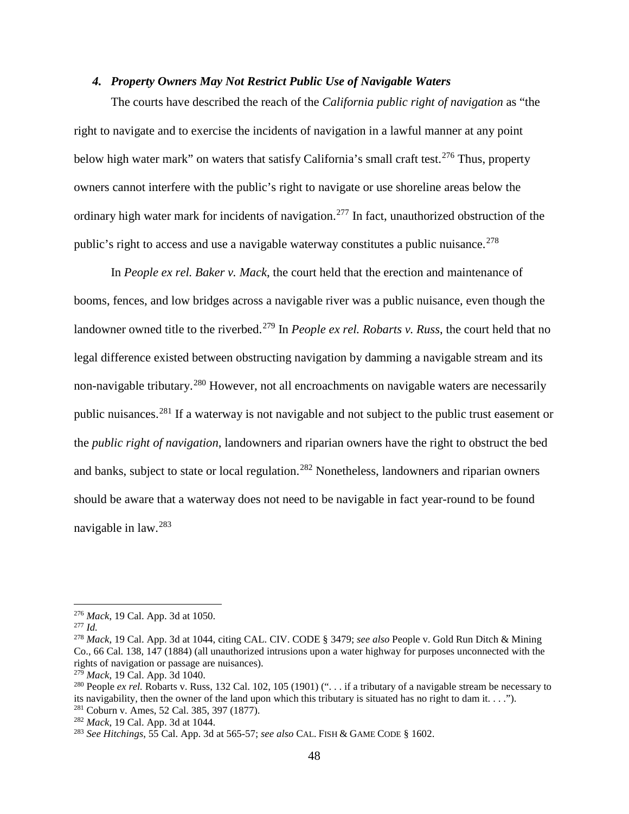#### <span id="page-47-0"></span>*4. Property Owners May Not Restrict Public Use of Navigable Waters*

The courts have described the reach of the *California public right of navigation* as "the right to navigate and to exercise the incidents of navigation in a lawful manner at any point below high water mark" on waters that satisfy California's small craft test.<sup>[276](#page-47-1)</sup> Thus, property owners cannot interfere with the public's right to navigate or use shoreline areas below the ordinary high water mark for incidents of navigation.[277](#page-47-2) In fact, unauthorized obstruction of the public's right to access and use a navigable waterway constitutes a public nuisance.<sup>[278](#page-47-3)</sup>

In *People ex rel. Baker v. Mack*, the court held that the erection and maintenance of booms, fences, and low bridges across a navigable river was a public nuisance, even though the landowner owned title to the riverbed.<sup>[279](#page-47-4)</sup> In *People ex rel. Robarts v. Russ*, the court held that no legal difference existed between obstructing navigation by damming a navigable stream and its non-navigable tributary.<sup>[280](#page-47-5)</sup> However, not all encroachments on navigable waters are necessarily public nuisances.[281](#page-47-6) If a waterway is not navigable and not subject to the public trust easement or the *public right of navigation*, landowners and riparian owners have the right to obstruct the bed and banks, subject to state or local regulation.<sup>[282](#page-47-7)</sup> Nonetheless, landowners and riparian owners should be aware that a waterway does not need to be navigable in fact year-round to be found navigable in law.[283](#page-47-8)

<span id="page-47-1"></span> <sup>276</sup> *Mack*, 19 Cal. App. 3d at 1050.

<span id="page-47-2"></span><sup>277</sup> *Id.*

<span id="page-47-3"></span><sup>278</sup> *Mack*, 19 Cal. App. 3d at 1044, citing CAL. CIV. CODE § 3479; *see also* People v. Gold Run Ditch & Mining Co., 66 Cal. 138, 147 (1884) (all unauthorized intrusions upon a water highway for purposes unconnected with the rights of navigation or passage are nuisances).

<span id="page-47-4"></span><sup>279</sup> *Mack*, 19 Cal. App. 3d 1040.

<span id="page-47-5"></span><sup>&</sup>lt;sup>280</sup> People *ex rel.* Robarts v. Russ, 132 Cal. 102, 105 (1901) (" $\ldots$ , if a tributary of a navigable stream be necessary to its navigability, then the owner of the land upon which this tributary is situated has no right to dam it. . . ."). <sup>281</sup> Coburn v. Ames, 52 Cal. 385, 397 (1877).

<span id="page-47-7"></span><span id="page-47-6"></span><sup>282</sup> *Mack*, 19 Cal. App. 3d at 1044.

<span id="page-47-8"></span><sup>283</sup> *See Hitchings*, 55 Cal. App. 3d at 565-57; *see also* CAL. FISH & GAME CODE § 1602.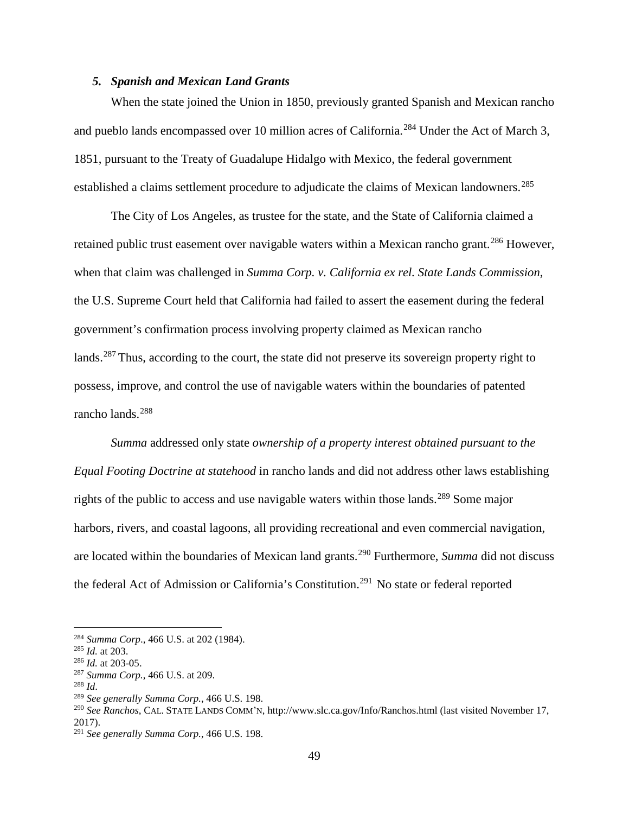#### <span id="page-48-0"></span>*5. Spanish and Mexican Land Grants*

When the state joined the Union in 1850, previously granted Spanish and Mexican rancho and pueblo lands encompassed over 10 million acres of California.<sup>[284](#page-48-1)</sup> Under the Act of March 3, 1851, pursuant to the Treaty of Guadalupe Hidalgo with Mexico, the federal government established a claims settlement procedure to adjudicate the claims of Mexican landowners.<sup>[285](#page-48-2)</sup>

The City of Los Angeles, as trustee for the state, and the State of California claimed a retained public trust easement over navigable waters within a Mexican rancho grant.<sup>[286](#page-48-3)</sup> However, when that claim was challenged in *Summa Corp. v. California ex rel. State Lands Commission*, the U.S. Supreme Court held that California had failed to assert the easement during the federal government's confirmation process involving property claimed as Mexican rancho lands.<sup>[287](#page-48-4)</sup> Thus, according to the court, the state did not preserve its sovereign property right to possess, improve, and control the use of navigable waters within the boundaries of patented rancho lands.<sup>[288](#page-48-5)</sup>

*Summa* addressed only state *ownership of a property interest obtained pursuant to the Equal Footing Doctrine at statehood* in rancho lands and did not address other laws establishing rights of the public to access and use navigable waters within those lands.<sup>[289](#page-48-6)</sup> Some major harbors, rivers, and coastal lagoons, all providing recreational and even commercial navigation, are located within the boundaries of Mexican land grants.[290](#page-48-7) Furthermore, *Summa* did not discuss the federal Act of Admission or California's Constitution.<sup>291</sup> No state or federal reported

<span id="page-48-1"></span> <sup>284</sup> *Summa Corp*., 466 U.S. at 202 (1984).

<span id="page-48-2"></span><sup>285</sup> *Id.* at 203.

<span id="page-48-4"></span><span id="page-48-3"></span><sup>&</sup>lt;sup>286</sup> *Id.* at 203-05.<br><sup>287</sup> Summa Corp., 466 U.S. at 209.

<span id="page-48-5"></span><sup>&</sup>lt;sup>288</sup> *Id. eaglerigh Summa Corp.*, 466 U.S. 198.

<span id="page-48-7"></span><span id="page-48-6"></span><sup>290</sup> *See Ranchos*, CAL. STATE LANDS COMM'N, http://www.slc.ca.gov/Info/Ranchos.html (last visited November 17, 2017).

<span id="page-48-8"></span><sup>291</sup> *See generally Summa Corp.*, 466 U.S. 198.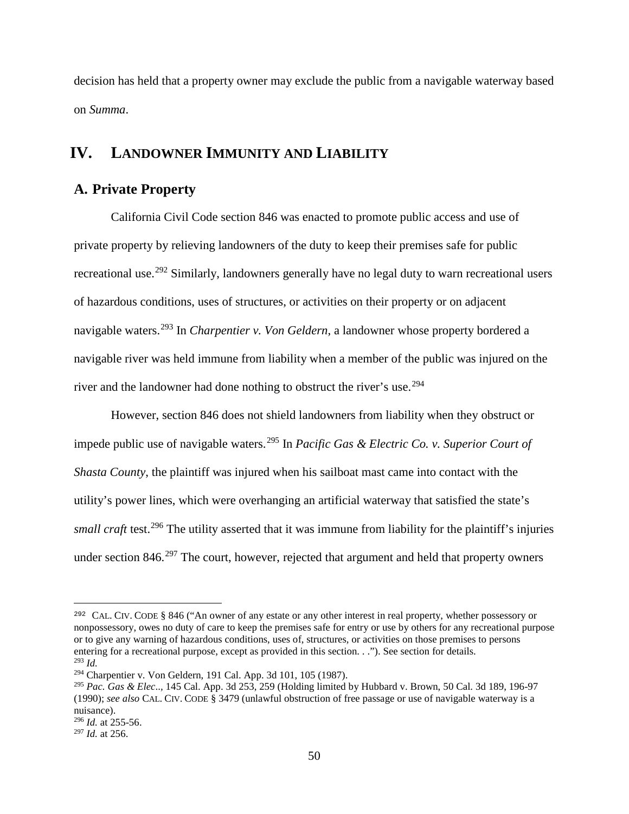decision has held that a property owner may exclude the public from a navigable waterway based on *Summa*.

# <span id="page-49-0"></span>**IV. LANDOWNER IMMUNITY AND LIABILITY**

# <span id="page-49-1"></span>**A. Private Property**

California Civil Code section 846 was enacted to promote public access and use of private property by relieving landowners of the duty to keep their premises safe for public recreational use.<sup>[292](#page-49-2)</sup> Similarly, landowners generally have no legal duty to warn recreational users of hazardous conditions, uses of structures, or activities on their property or on adjacent navigable waters.[293](#page-49-3) In *Charpentier v. Von Geldern*, a landowner whose property bordered a navigable river was held immune from liability when a member of the public was injured on the river and the landowner had done nothing to obstruct the river's use.<sup>[294](#page-49-4)</sup>

However, section 846 does not shield landowners from liability when they obstruct or impede public use of navigable waters.[295](#page-49-5) In *Pacific Gas & Electric Co. v. Superior Court of Shasta County*, the plaintiff was injured when his sailboat mast came into contact with the utility's power lines, which were overhanging an artificial waterway that satisfied the state's *small craft* test. [296](#page-49-6) The utility asserted that it was immune from liability for the plaintiff's injuries under section  $846<sup>297</sup>$  $846<sup>297</sup>$  $846<sup>297</sup>$  The court, however, rejected that argument and held that property owners

 $\overline{a}$ 

<span id="page-49-2"></span><sup>292</sup> CAL. CIV. CODE § 846 ("An owner of any estate or any other interest in real property, whether possessory or nonpossessory, owes no duty of care to keep the premises safe for entry or use by others for any recreational purpose or to give any warning of hazardous conditions, uses of, structures, or activities on those premises to persons entering for a recreational purpose, except as provided in this section. . ."). See section for details. <sup>293</sup> *Id.*

<span id="page-49-4"></span><span id="page-49-3"></span><sup>294</sup> Charpentier v. Von Geldern, 191 Cal. App. 3d 101, 105 (1987).

<span id="page-49-5"></span><sup>295</sup> *Pac. Gas & Elec*..*,* 145 Cal. App. 3d 253, 259 (Holding limited by Hubbard v. Brown, 50 Cal. 3d 189, 196-97 (1990); *see also* CAL. CIV. CODE § 3479 (unlawful obstruction of free passage or use of navigable waterway is a nuisance).

<span id="page-49-7"></span><span id="page-49-6"></span><sup>296</sup> *Id.* at 255-56. 297 *Id.* at 256.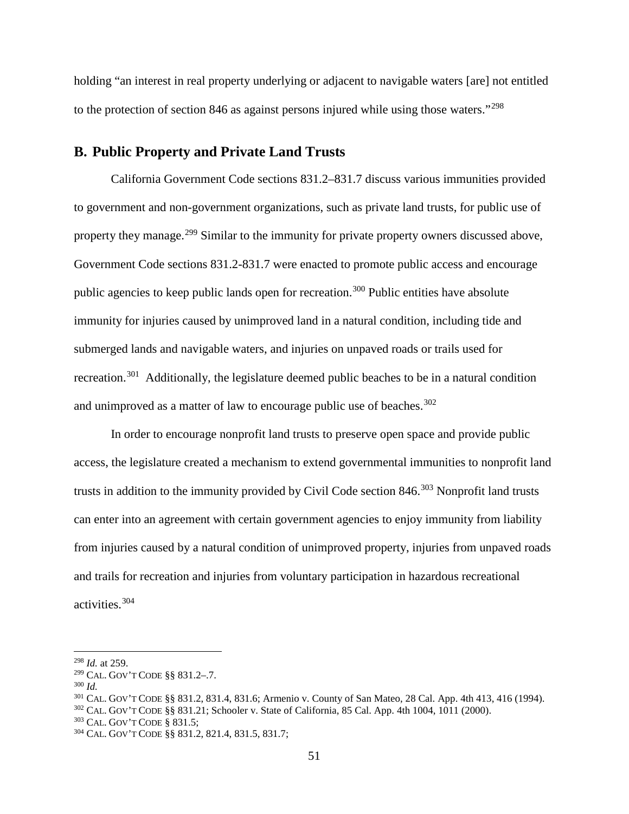holding "an interest in real property underlying or adjacent to navigable waters [are] not entitled to the protection of section 846 as against persons injured while using those waters."[298](#page-50-1)

# <span id="page-50-0"></span>**B. Public Property and Private Land Trusts**

California Government Code sections 831.2–831.7 discuss various immunities provided to government and non-government organizations, such as private land trusts, for public use of property they manage.<sup>[299](#page-50-2)</sup> Similar to the immunity for private property owners discussed above, Government Code sections 831.2-831.7 were enacted to promote public access and encourage public agencies to keep public lands open for recreation.<sup>[300](#page-50-3)</sup> Public entities have absolute immunity for injuries caused by unimproved land in a natural condition, including tide and submerged lands and navigable waters, and injuries on unpaved roads or trails used for recreation.<sup>[301](#page-50-4)</sup> Additionally, the legislature deemed public beaches to be in a natural condition and unimproved as a matter of law to encourage public use of beaches.<sup>[302](#page-50-5)</sup>

In order to encourage nonprofit land trusts to preserve open space and provide public access, the legislature created a mechanism to extend governmental immunities to nonprofit land trusts in addition to the immunity provided by Civil Code section 846. [303](#page-50-6) Nonprofit land trusts can enter into an agreement with certain government agencies to enjoy immunity from liability from injuries caused by a natural condition of unimproved property, injuries from unpaved roads and trails for recreation and injuries from voluntary participation in hazardous recreational activities.[304](#page-50-7)

<span id="page-50-1"></span> <sup>298</sup> *Id.* at 259.

<span id="page-50-2"></span><sup>299</sup> CAL. GOV'T CODE §§ 831.2–.7.

<span id="page-50-3"></span><sup>300</sup> *Id.*

<span id="page-50-4"></span><sup>301</sup> CAL. GOV'T CODE §§ 831.2, 831.4, 831.6; Armenio v. County of San Mateo, 28 Cal. App. 4th 413, 416 (1994).

<span id="page-50-5"></span><sup>302</sup> CAL. GOV'T CODE §§ 831.21; Schooler v. State of California, 85 Cal. App. 4th 1004, 1011 (2000).

<span id="page-50-6"></span><sup>303</sup> CAL. GOV'T CODE § 831.5;

<span id="page-50-7"></span><sup>304</sup> CAL. GOV'T CODE §§ 831.2, 821.4, 831.5, 831.7;